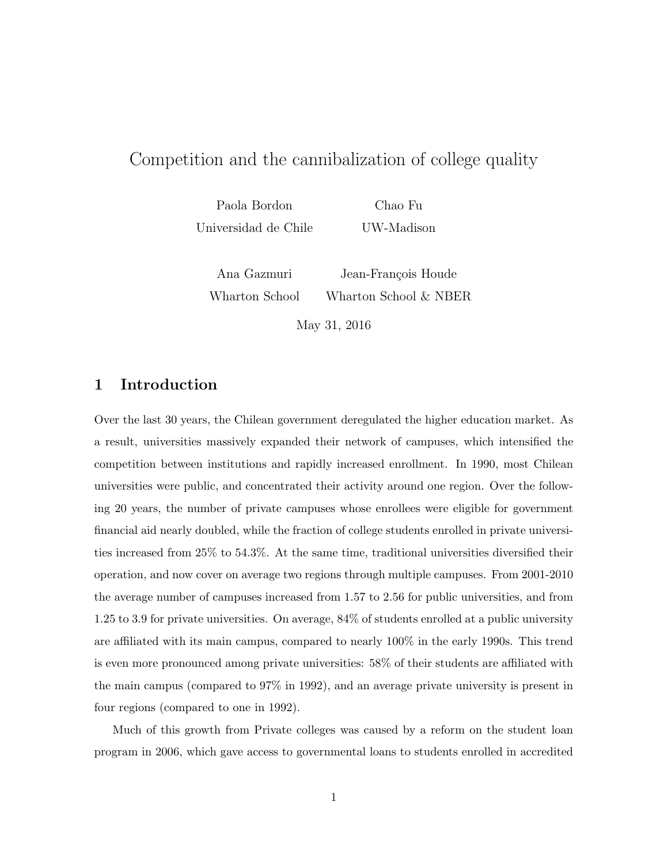# Competition and the cannibalization of college quality

Paola Bordon Chao Fu Universidad de Chile UW-Madison

Ana Gazmuri Jean-François Houde Wharton School Wharton School & NBER May 31, 2016

1 Introduction

Over the last 30 years, the Chilean government deregulated the higher education market. As a result, universities massively expanded their network of campuses, which intensified the competition between institutions and rapidly increased enrollment. In 1990, most Chilean universities were public, and concentrated their activity around one region. Over the following 20 years, the number of private campuses whose enrollees were eligible for government financial aid nearly doubled, while the fraction of college students enrolled in private universities increased from 25% to 54*.*3%. At the same time, traditional universities diversified their operation, and now cover on average two regions through multiple campuses. From 2001-2010 the average number of campuses increased from 1.57 to 2.56 for public universities, and from 1.25 to 3.9 for private universities. On average, 84% of students enrolled at a public university are affiliated with its main campus, compared to nearly  $100\%$  in the early 1990s. This trend is even more pronounced among private universities:  $58\%$  of their students are affiliated with the main campus (compared to 97% in 1992), and an average private university is present in four regions (compared to one in 1992).

Much of this growth from Private colleges was caused by a reform on the student loan program in 2006, which gave access to governmental loans to students enrolled in accredited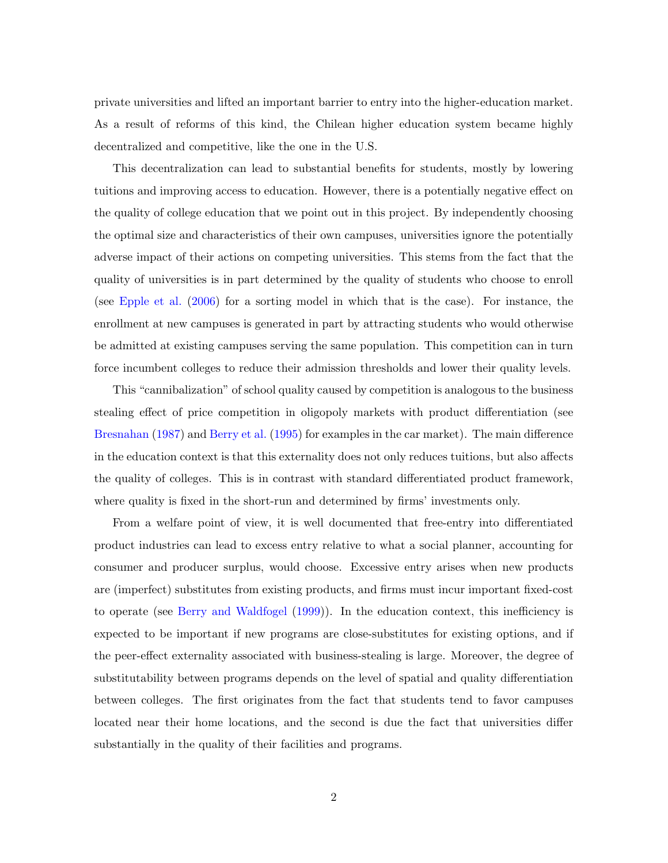private universities and lifted an important barrier to entry into the higher-education market. As a result of reforms of this kind, the Chilean higher education system became highly decentralized and competitive, like the one in the U.S.

This decentralization can lead to substantial benefits for students, mostly by lowering tuitions and improving access to education. However, there is a potentially negative effect on the quality of college education that we point out in this project. By independently choosing the optimal size and characteristics of their own campuses, universities ignore the potentially adverse impact of their actions on competing universities. This stems from the fact that the quality of universities is in part determined by the quality of students who choose to enroll (see [Epple et al.](#page-25-0) [\(2006\)](#page-25-0) for a sorting model in which that is the case). For instance, the enrollment at new campuses is generated in part by attracting students who would otherwise be admitted at existing campuses serving the same population. This competition can in turn force incumbent colleges to reduce their admission thresholds and lower their quality levels.

This "cannibalization" of school quality caused by competition is analogous to the business stealing effect of price competition in oligopoly markets with product differentiation (see [Bresnahan](#page-25-1)  $(1987)$  and [Berry et al.](#page-24-0)  $(1995)$  for examples in the car market). The main difference in the education context is that this externality does not only reduces tuitions, but also affects the quality of colleges. This is in contrast with standard differentiated product framework, where quality is fixed in the short-run and determined by firms' investments only.

From a welfare point of view, it is well documented that free-entry into differentiated product industries can lead to excess entry relative to what a social planner, accounting for consumer and producer surplus, would choose. Excessive entry arises when new products are (imperfect) substitutes from existing products, and firms must incur important fixed-cost to operate (see [Berry and Waldfogel](#page-24-1) [\(1999\)](#page-24-1)). In the education context, this inefficiency is expected to be important if new programs are close-substitutes for existing options, and if the peer-effect externality associated with business-stealing is large. Moreover, the degree of substitutability between programs depends on the level of spatial and quality differentiation between colleges. The first originates from the fact that students tend to favor campuses located near their home locations, and the second is due the fact that universities differ substantially in the quality of their facilities and programs.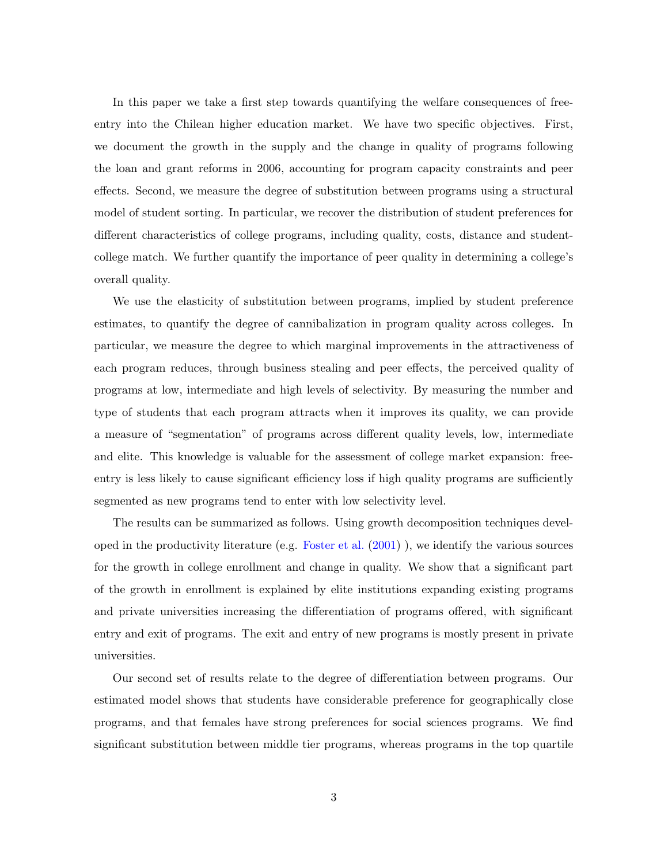In this paper we take a first step towards quantifying the welfare consequences of freeentry into the Chilean higher education market. We have two specific objectives. First, we document the growth in the supply and the change in quality of programs following the loan and grant reforms in 2006, accounting for program capacity constraints and peer effects. Second, we measure the degree of substitution between programs using a structural model of student sorting. In particular, we recover the distribution of student preferences for different characteristics of college programs, including quality, costs, distance and studentcollege match. We further quantify the importance of peer quality in determining a college's overall quality.

We use the elasticity of substitution between programs, implied by student preference estimates, to quantify the degree of cannibalization in program quality across colleges. In particular, we measure the degree to which marginal improvements in the attractiveness of each program reduces, through business stealing and peer effects, the perceived quality of programs at low, intermediate and high levels of selectivity. By measuring the number and type of students that each program attracts when it improves its quality, we can provide a measure of "segmentation" of programs across different quality levels, low, intermediate and elite. This knowledge is valuable for the assessment of college market expansion: freeentry is less likely to cause significant efficiency loss if high quality programs are sufficiently segmented as new programs tend to enter with low selectivity level.

The results can be summarized as follows. Using growth decomposition techniques developed in the productivity literature (e.g. [Foster et al.](#page-25-2) [\(2001\)](#page-25-2) ), we identify the various sources for the growth in college enrollment and change in quality. We show that a significant part of the growth in enrollment is explained by elite institutions expanding existing programs and private universities increasing the differentiation of programs offered, with significant entry and exit of programs. The exit and entry of new programs is mostly present in private universities.

Our second set of results relate to the degree of differentiation between programs. Our estimated model shows that students have considerable preference for geographically close programs, and that females have strong preferences for social sciences programs. We find significant substitution between middle tier programs, whereas programs in the top quartile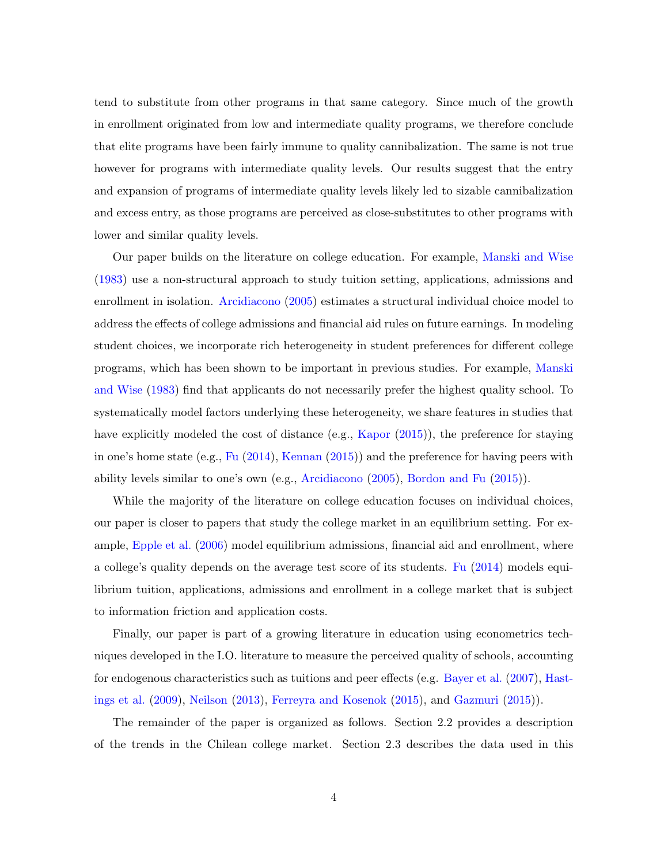tend to substitute from other programs in that same category. Since much of the growth in enrollment originated from low and intermediate quality programs, we therefore conclude that elite programs have been fairly immune to quality cannibalization. The same is not true however for programs with intermediate quality levels. Our results suggest that the entry and expansion of programs of intermediate quality levels likely led to sizable cannibalization and excess entry, as those programs are perceived as close-substitutes to other programs with lower and similar quality levels.

Our paper builds on the literature on college education. For example, [Manski and Wise](#page-25-3) [\(1983\)](#page-25-3) use a non-structural approach to study tuition setting, applications, admissions and enrollment in isolation. [Arcidiacono](#page-24-2) [\(2005\)](#page-24-2) estimates a structural individual choice model to address the effects of college admissions and financial aid rules on future earnings. In modeling student choices, we incorporate rich heterogeneity in student preferences for different college programs, which has been shown to be important in previous studies. For example, [Manski](#page-25-3) [and Wise](#page-25-3) [\(1983\)](#page-25-3) find that applicants do not necessarily prefer the highest quality school. To systematically model factors underlying these heterogeneity, we share features in studies that have explicitly modeled the cost of distance (e.g., [Kapor](#page-25-4) [\(2015\)](#page-25-4)), the preference for staying in one's home state (e.g., [Fu](#page-25-5) [\(2014\)](#page-25-5), [Kennan](#page-25-6) [\(2015\)](#page-25-6)) and the preference for having peers with ability levels similar to one's own (e.g., [Arcidiacono](#page-24-2) [\(2005\)](#page-24-2), [Bordon and Fu](#page-24-3) [\(2015\)](#page-24-3)).

While the majority of the literature on college education focuses on individual choices, our paper is closer to papers that study the college market in an equilibrium setting. For example, [Epple et al.](#page-25-0) [\(2006\)](#page-25-0) model equilibrium admissions, financial aid and enrollment, where a college's quality depends on the average test score of its students. [Fu](#page-25-5) [\(2014\)](#page-25-5) models equilibrium tuition, applications, admissions and enrollment in a college market that is subject to information friction and application costs.

Finally, our paper is part of a growing literature in education using econometrics techniques developed in the I.O. literature to measure the perceived quality of schools, accounting for endogenous characteristics such as tuitions and peer effects (e.g. [Bayer et al.](#page-24-4)  $(2007)$ , [Hast](#page-25-7)[ings et al.](#page-25-7) [\(2009\)](#page-25-7), [Neilson](#page-25-8) [\(2013\)](#page-25-8), [Ferreyra and Kosenok](#page-25-9) [\(2015\)](#page-25-9), and [Gazmuri](#page-25-10) [\(2015\)](#page-25-10)).

The remainder of the paper is organized as follows. Section 2.2 provides a description of the trends in the Chilean college market. Section 2.3 describes the data used in this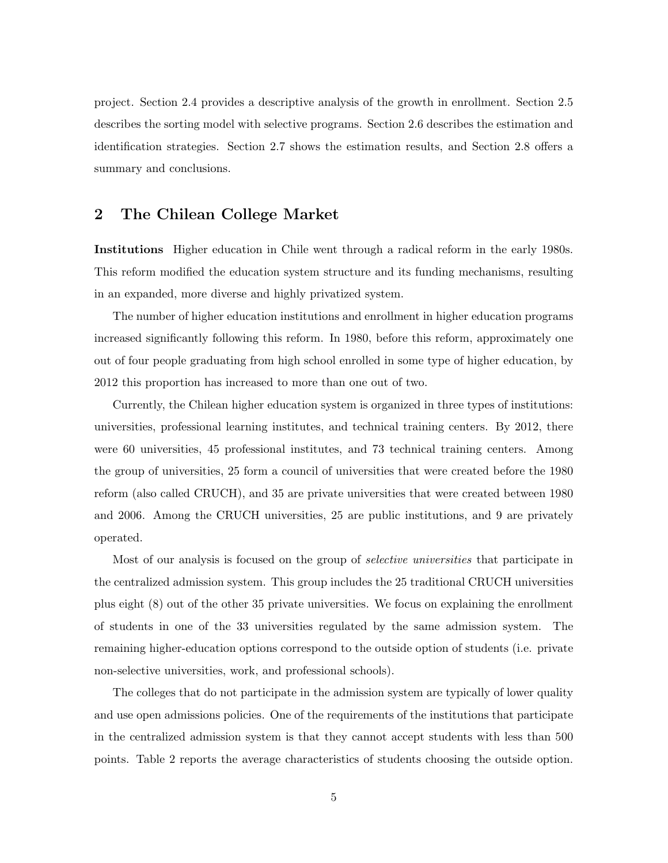project. Section 2.4 provides a descriptive analysis of the growth in enrollment. Section 2.5 describes the sorting model with selective programs. Section 2.6 describes the estimation and identification strategies. Section  $2.7$  shows the estimation results, and Section  $2.8$  offers a summary and conclusions.

## 2 The Chilean College Market

Institutions Higher education in Chile went through a radical reform in the early 1980s. This reform modified the education system structure and its funding mechanisms, resulting in an expanded, more diverse and highly privatized system.

The number of higher education institutions and enrollment in higher education programs increased significantly following this reform. In 1980, before this reform, approximately one out of four people graduating from high school enrolled in some type of higher education, by 2012 this proportion has increased to more than one out of two.

Currently, the Chilean higher education system is organized in three types of institutions: universities, professional learning institutes, and technical training centers. By 2012, there were 60 universities, 45 professional institutes, and 73 technical training centers. Among the group of universities, 25 form a council of universities that were created before the 1980 reform (also called CRUCH), and 35 are private universities that were created between 1980 and 2006. Among the CRUCH universities, 25 are public institutions, and 9 are privately operated.

Most of our analysis is focused on the group of *selective universities* that participate in the centralized admission system. This group includes the 25 traditional CRUCH universities plus eight (8) out of the other 35 private universities. We focus on explaining the enrollment of students in one of the 33 universities regulated by the same admission system. The remaining higher-education options correspond to the outside option of students (i.e. private non-selective universities, work, and professional schools).

The colleges that do not participate in the admission system are typically of lower quality and use open admissions policies. One of the requirements of the institutions that participate in the centralized admission system is that they cannot accept students with less than 500 points. Table [2](#page-27-0) reports the average characteristics of students choosing the outside option.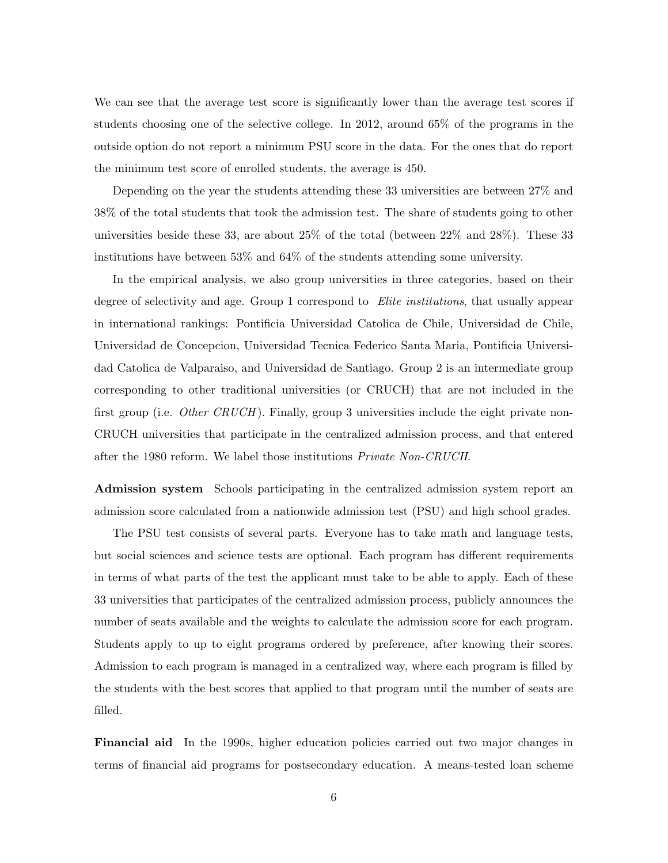We can see that the average test score is significantly lower than the average test scores if students choosing one of the selective college. In 2012, around 65% of the programs in the outside option do not report a minimum PSU score in the data. For the ones that do report the minimum test score of enrolled students, the average is 450.

Depending on the year the students attending these 33 universities are between 27% and 38% of the total students that took the admission test. The share of students going to other universities beside these 33, are about 25% of the total (between 22% and 28%). These 33 institutions have between 53% and 64% of the students attending some university.

In the empirical analysis, we also group universities in three categories, based on their degree of selectivity and age. Group 1 correspond to *Elite institutions*, that usually appear in international rankings: Pontificia Universidad Catolica de Chile, Universidad de Chile, Universidad de Concepcion, Universidad Tecnica Federico Santa Maria, Pontificia Universidad Catolica de Valparaiso, and Universidad de Santiago. Group 2 is an intermediate group corresponding to other traditional universities (or CRUCH) that are not included in the first group (i.e. *Other CRUCH*). Finally, group 3 universities include the eight private non-CRUCH universities that participate in the centralized admission process, and that entered after the 1980 reform. We label those institutions *Private Non-CRUCH*.

Admission system Schools participating in the centralized admission system report an admission score calculated from a nationwide admission test (PSU) and high school grades.

The PSU test consists of several parts. Everyone has to take math and language tests, but social sciences and science tests are optional. Each program has different requirements in terms of what parts of the test the applicant must take to be able to apply. Each of these 33 universities that participates of the centralized admission process, publicly announces the number of seats available and the weights to calculate the admission score for each program. Students apply to up to eight programs ordered by preference, after knowing their scores. Admission to each program is managed in a centralized way, where each program is filled by the students with the best scores that applied to that program until the number of seats are filled.

Financial aid In the 1990s, higher education policies carried out two major changes in terms of financial aid programs for postsecondary education. A means-tested loan scheme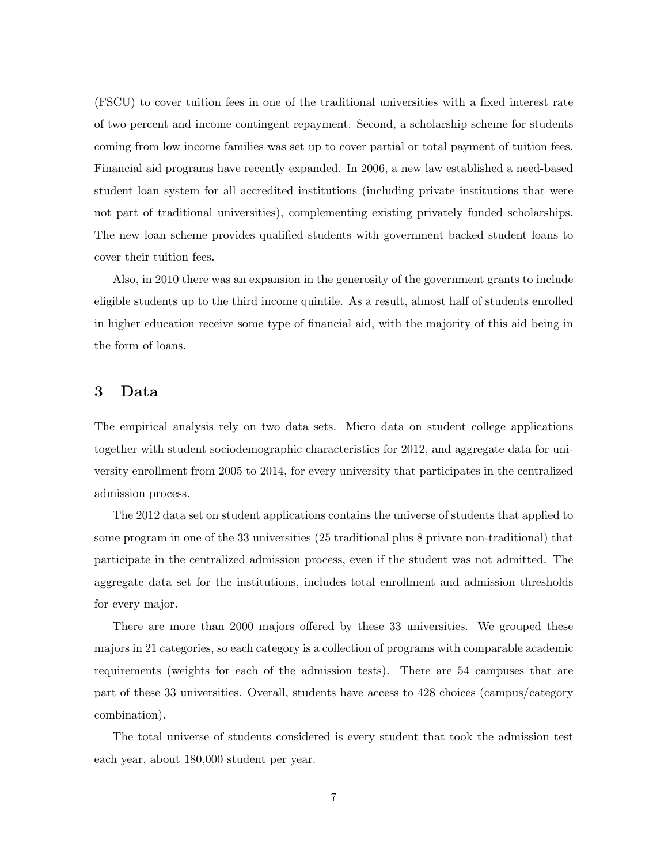(FSCU) to cover tuition fees in one of the traditional universities with a fixed interest rate of two percent and income contingent repayment. Second, a scholarship scheme for students coming from low income families was set up to cover partial or total payment of tuition fees. Financial aid programs have recently expanded. In 2006, a new law established a need-based student loan system for all accredited institutions (including private institutions that were not part of traditional universities), complementing existing privately funded scholarships. The new loan scheme provides qualified students with government backed student loans to cover their tuition fees.

Also, in 2010 there was an expansion in the generosity of the government grants to include eligible students up to the third income quintile. As a result, almost half of students enrolled in higher education receive some type of financial aid, with the majority of this aid being in the form of loans.

## 3 Data

The empirical analysis rely on two data sets. Micro data on student college applications together with student sociodemographic characteristics for 2012, and aggregate data for university enrollment from 2005 to 2014, for every university that participates in the centralized admission process.

The 2012 data set on student applications contains the universe of students that applied to some program in one of the 33 universities (25 traditional plus 8 private non-traditional) that participate in the centralized admission process, even if the student was not admitted. The aggregate data set for the institutions, includes total enrollment and admission thresholds for every major.

There are more than 2000 majors offered by these 33 universities. We grouped these majors in 21 categories, so each category is a collection of programs with comparable academic requirements (weights for each of the admission tests). There are 54 campuses that are part of these 33 universities. Overall, students have access to 428 choices (campus/category combination).

The total universe of students considered is every student that took the admission test each year, about 180,000 student per year.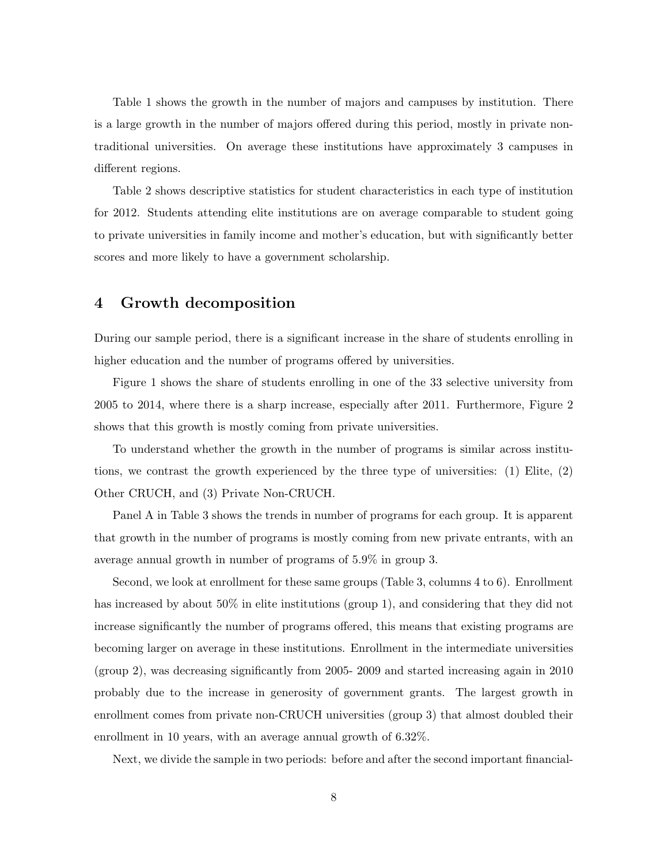Table [1](#page-26-0) shows the growth in the number of majors and campuses by institution. There is a large growth in the number of majors offered during this period, mostly in private nontraditional universities. On average these institutions have approximately 3 campuses in different regions.

Table [2](#page-27-0) shows descriptive statistics for student characteristics in each type of institution for 2012. Students attending elite institutions are on average comparable to student going to private universities in family income and mother's education, but with significantly better scores and more likely to have a government scholarship.

### 4 Growth decomposition

During our sample period, there is a significant increase in the share of students enrolling in higher education and the number of programs offered by universities.

Figure [1](#page-39-0) shows the share of students enrolling in one of the 33 selective university from 2005 to 2014, where there is a sharp increase, especially after 2011. Furthermore, Figure [2](#page-40-0) shows that this growth is mostly coming from private universities.

To understand whether the growth in the number of programs is similar across institutions, we contrast the growth experienced by the three type of universities: (1) Elite, (2) Other CRUCH, and (3) Private Non-CRUCH.

Panel A in Table [3](#page-28-0) shows the trends in number of programs for each group. It is apparent that growth in the number of programs is mostly coming from new private entrants, with an average annual growth in number of programs of 5*.*9% in group 3.

Second, we look at enrollment for these same groups (Table [3,](#page-28-0) columns 4 to 6). Enrollment has increased by about 50% in elite institutions (group 1), and considering that they did not increase significantly the number of programs offered, this means that existing programs are becoming larger on average in these institutions. Enrollment in the intermediate universities (group 2), was decreasing significantly from 2005- 2009 and started increasing again in 2010 probably due to the increase in generosity of government grants. The largest growth in enrollment comes from private non-CRUCH universities (group 3) that almost doubled their enrollment in 10 years, with an average annual growth of 6*.*32%.

Next, we divide the sample in two periods: before and after the second important financial-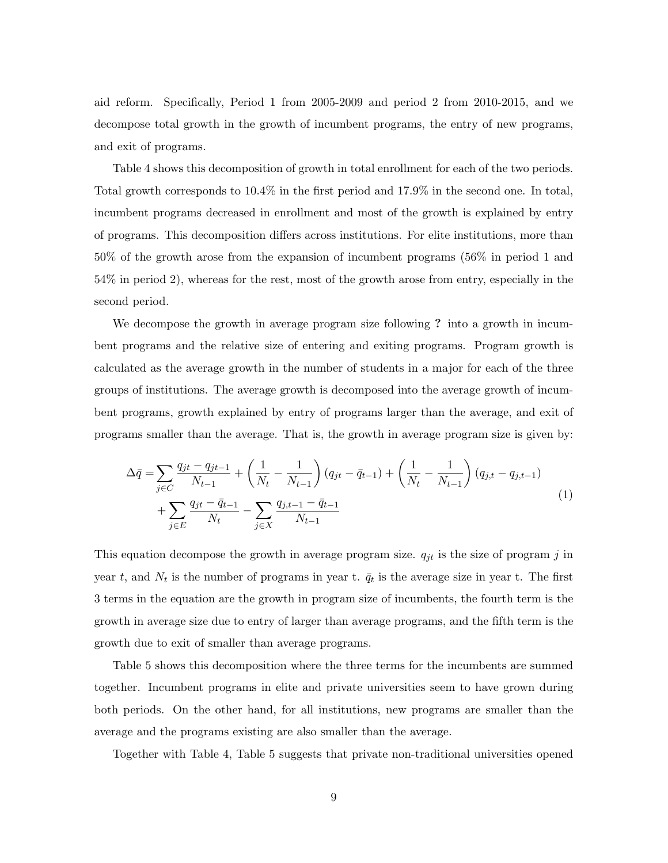aid reform. Specifically, Period 1 from 2005-2009 and period 2 from 2010-2015, and we decompose total growth in the growth of incumbent programs, the entry of new programs, and exit of programs.

Table [4](#page-29-0) shows this decomposition of growth in total enrollment for each of the two periods. Total growth corresponds to 10*.*4% in the first period and 17*.*9% in the second one. In total, incumbent programs decreased in enrollment and most of the growth is explained by entry of programs. This decomposition di↵ers across institutions. For elite institutions, more than 50% of the growth arose from the expansion of incumbent programs (56% in period 1 and 54% in period 2), whereas for the rest, most of the growth arose from entry, especially in the second period.

We decompose the growth in average program size following ? into a growth in incumbent programs and the relative size of entering and exiting programs. Program growth is calculated as the average growth in the number of students in a major for each of the three groups of institutions. The average growth is decomposed into the average growth of incumbent programs, growth explained by entry of programs larger than the average, and exit of programs smaller than the average. That is, the growth in average program size is given by:

$$
\Delta \bar{q} = \sum_{j \in C} \frac{q_{jt} - q_{jt-1}}{N_{t-1}} + \left(\frac{1}{N_t} - \frac{1}{N_{t-1}}\right) (q_{jt} - \bar{q}_{t-1}) + \left(\frac{1}{N_t} - \frac{1}{N_{t-1}}\right) (q_{j,t} - q_{j,t-1}) + \sum_{j \in E} \frac{q_{jt} - \bar{q}_{t-1}}{N_t} - \sum_{j \in X} \frac{q_{j,t-1} - \bar{q}_{t-1}}{N_{t-1}}
$$
\n(1)

This equation decompose the growth in average program size. *qjt* is the size of program *j* in year *t*, and  $N_t$  is the number of programs in year t.  $\bar{q}_t$  is the average size in year t. The first 3 terms in the equation are the growth in program size of incumbents, the fourth term is the growth in average size due to entry of larger than average programs, and the fifth term is the growth due to exit of smaller than average programs.

Table [5](#page-30-0) shows this decomposition where the three terms for the incumbents are summed together. Incumbent programs in elite and private universities seem to have grown during both periods. On the other hand, for all institutions, new programs are smaller than the average and the programs existing are also smaller than the average.

Together with Table [4,](#page-29-0) Table [5](#page-30-0) suggests that private non-traditional universities opened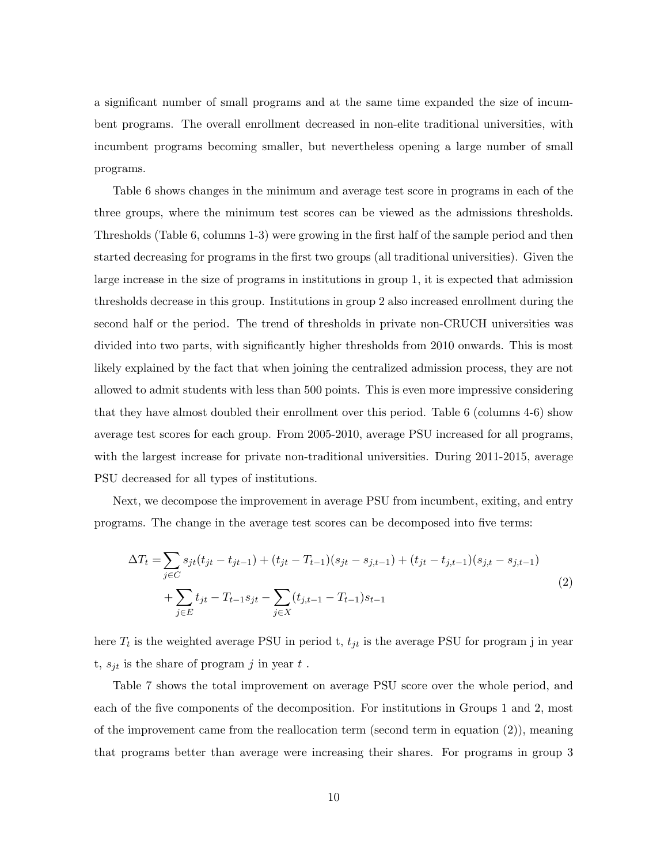a significant number of small programs and at the same time expanded the size of incumbent programs. The overall enrollment decreased in non-elite traditional universities, with incumbent programs becoming smaller, but nevertheless opening a large number of small programs.

Table [6](#page-31-0) shows changes in the minimum and average test score in programs in each of the three groups, where the minimum test scores can be viewed as the admissions thresholds. Thresholds (Table [6,](#page-31-0) columns 1-3) were growing in the first half of the sample period and then started decreasing for programs in the first two groups (all traditional universities). Given the large increase in the size of programs in institutions in group 1, it is expected that admission thresholds decrease in this group. Institutions in group 2 also increased enrollment during the second half or the period. The trend of thresholds in private non-CRUCH universities was divided into two parts, with significantly higher thresholds from 2010 onwards. This is most likely explained by the fact that when joining the centralized admission process, they are not allowed to admit students with less than 500 points. This is even more impressive considering that they have almost doubled their enrollment over this period. Table [6](#page-31-0) (columns 4-6) show average test scores for each group. From 2005-2010, average PSU increased for all programs, with the largest increase for private non-traditional universities. During 2011-2015, average PSU decreased for all types of institutions.

Next, we decompose the improvement in average PSU from incumbent, exiting, and entry programs. The change in the average test scores can be decomposed into five terms:

<span id="page-9-0"></span>
$$
\Delta T_t = \sum_{j \in C} s_{jt} (t_{jt} - t_{jt-1}) + (t_{jt} - T_{t-1})(s_{jt} - s_{j,t-1}) + (t_{jt} - t_{j,t-1})(s_{j,t} - s_{j,t-1})
$$
  
+ 
$$
\sum_{j \in E} t_{jt} - T_{t-1} s_{jt} - \sum_{j \in X} (t_{j,t-1} - T_{t-1}) s_{t-1}
$$
 (2)

here  $T_t$  is the weighted average PSU in period t,  $t_{jt}$  is the average PSU for program j in year t,  $s_{jt}$  is the share of program  $j$  in year  $t$ .

Table [7](#page-32-0) shows the total improvement on average PSU score over the whole period, and each of the five components of the decomposition. For institutions in Groups 1 and 2, most of the improvement came from the reallocation term (second term in equation (2)), meaning that programs better than average were increasing their shares. For programs in group 3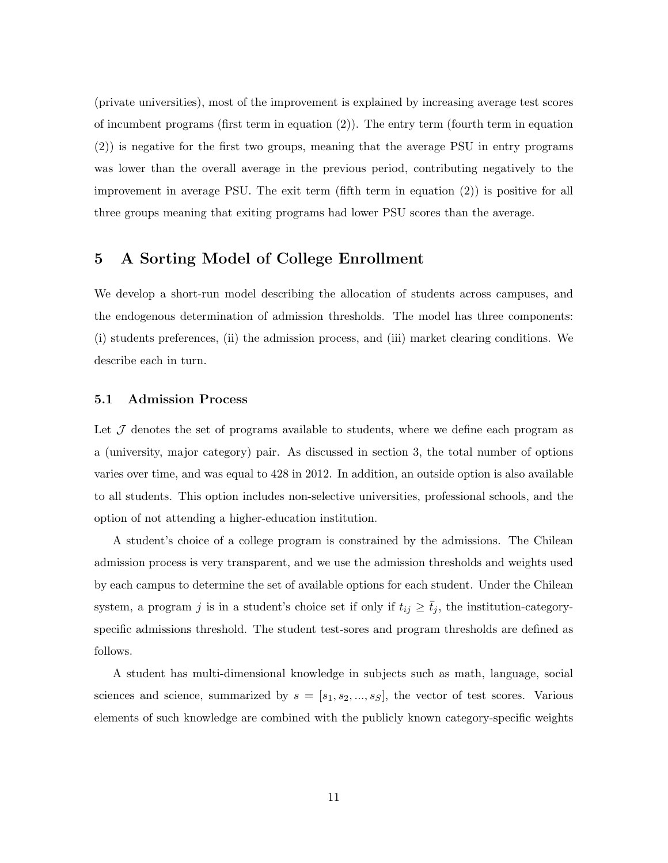(private universities), most of the improvement is explained by increasing average test scores of incumbent programs (first term in equation [\(2\)](#page-9-0)). The entry term (fourth term in equation (2)) is negative for the first two groups, meaning that the average PSU in entry programs was lower than the overall average in the previous period, contributing negatively to the improvement in average PSU. The exit term (fifth term in equation [\(2\)](#page-9-0)) is positive for all three groups meaning that exiting programs had lower PSU scores than the average.

## 5 A Sorting Model of College Enrollment

We develop a short-run model describing the allocation of students across campuses, and the endogenous determination of admission thresholds. The model has three components: (i) students preferences, (ii) the admission process, and (iii) market clearing conditions. We describe each in turn.

#### 5.1 Admission Process

Let J denotes the set of programs available to students, where we define each program as a (university, major category) pair. As discussed in section 3, the total number of options varies over time, and was equal to 428 in 2012. In addition, an outside option is also available to all students. This option includes non-selective universities, professional schools, and the option of not attending a higher-education institution.

A student's choice of a college program is constrained by the admissions. The Chilean admission process is very transparent, and we use the admission thresholds and weights used by each campus to determine the set of available options for each student. Under the Chilean system, a program *j* is in a student's choice set if only if  $t_{ij} \ge \bar{t}_j$ , the institution-categoryspecific admissions threshold. The student test-sores and program thresholds are defined as follows.

A student has multi-dimensional knowledge in subjects such as math, language, social sciences and science, summarized by  $s = [s_1, s_2, ..., s_S]$ , the vector of test scores. Various elements of such knowledge are combined with the publicly known category-specific weights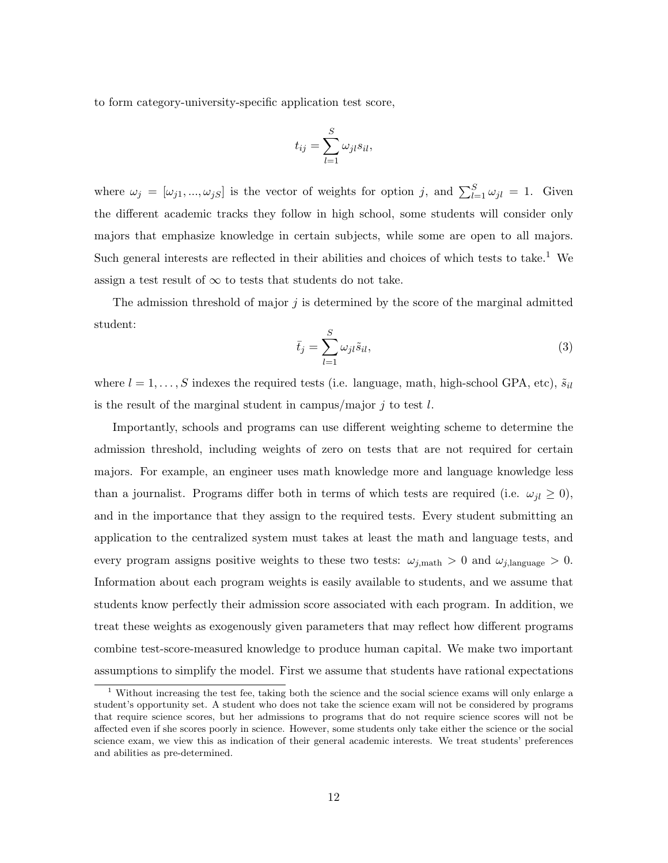to form category-university-specific application test score,

$$
t_{ij} = \sum_{l=1}^{S} \omega_{jl} s_{il},
$$

where  $\omega_j = [\omega_{j1}, ..., \omega_{jS}]$  is the vector of weights for option *j*, and  $\sum_{l=1}^{S} \omega_{jl} = 1$ . Given the different academic tracks they follow in high school, some students will consider only majors that emphasize knowledge in certain subjects, while some are open to all majors. Such general interests are reflected in their abilities and choices of which tests to take.<sup>[1](#page-11-0)</sup> We assign a test result of  $\infty$  to tests that students do not take.

The admission threshold of major *j* is determined by the score of the marginal admitted student:

$$
\bar{t}_j = \sum_{l=1}^{S} \omega_{jl} \tilde{s}_{il},\tag{3}
$$

where  $l = 1, \ldots, S$  indexes the required tests (i.e. language, math, high-school GPA, etc),  $\tilde{s}_{il}$ is the result of the marginal student in campus/major *j* to test *l*.

Importantly, schools and programs can use different weighting scheme to determine the admission threshold, including weights of zero on tests that are not required for certain majors. For example, an engineer uses math knowledge more and language knowledge less than a journalist. Programs differ both in terms of which tests are required (i.e.  $\omega_{il} \geq 0$ ), and in the importance that they assign to the required tests. Every student submitting an application to the centralized system must takes at least the math and language tests, and every program assigns positive weights to these two tests:  $\omega_{j,\text{math}} > 0$  and  $\omega_{j,\text{language}} > 0$ . Information about each program weights is easily available to students, and we assume that students know perfectly their admission score associated with each program. In addition, we treat these weights as exogenously given parameters that may reflect how different programs combine test-score-measured knowledge to produce human capital. We make two important assumptions to simplify the model. First we assume that students have rational expectations

<span id="page-11-0"></span><sup>&</sup>lt;sup>1</sup> Without increasing the test fee, taking both the science and the social science exams will only enlarge a student's opportunity set. A student who does not take the science exam will not be considered by programs that require science scores, but her admissions to programs that do not require science scores will not be affected even if she scores poorly in science. However, some students only take either the science or the social science exam, we view this as indication of their general academic interests. We treat students' preferences and abilities as pre-determined.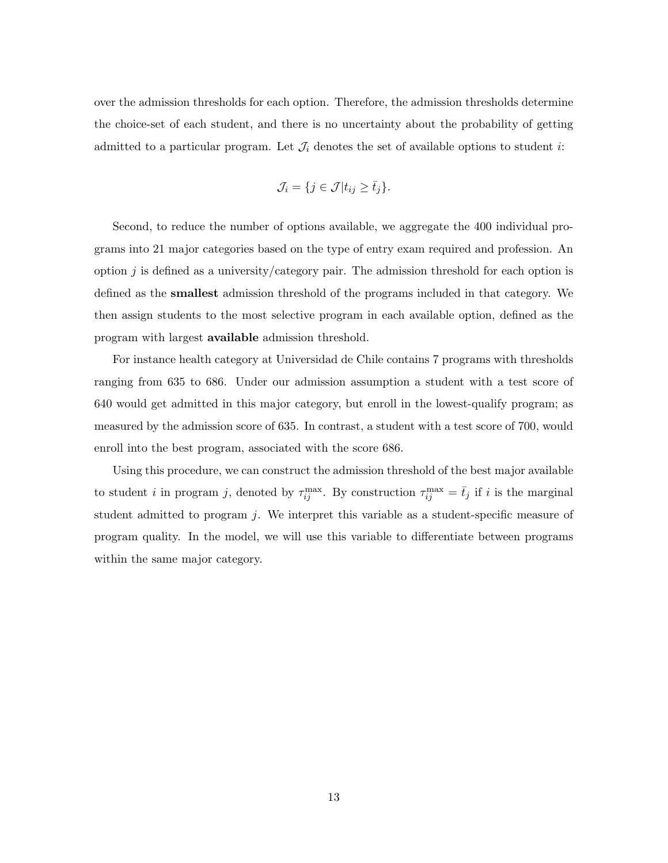over the admission thresholds for each option. Therefore, the admission thresholds determine the choice-set of each student, and there is no uncertainty about the probability of getting admitted to a particular program. Let  $\mathcal{J}_i$  denotes the set of available options to student *i*:

$$
\mathcal{J}_i = \{ j \in \mathcal{J} | t_{ij} \geq \bar{t}_j \}.
$$

Second, to reduce the number of options available, we aggregate the 400 individual programs into 21 major categories based on the type of entry exam required and profession. An option *j* is defined as a university/category pair. The admission threshold for each option is defined as the smallest admission threshold of the programs included in that category. We then assign students to the most selective program in each available option, defined as the program with largest available admission threshold.

For instance health category at Universidad de Chile contains 7 programs with thresholds ranging from 635 to 686. Under our admission assumption a student with a test score of 640 would get admitted in this major category, but enroll in the lowest-qualify program; as measured by the admission score of 635. In contrast, a student with a test score of 700, would enroll into the best program, associated with the score 686.

Using this procedure, we can construct the admission threshold of the best major available to student *i* in program *j*, denoted by  $\tau_{ij}^{\max}$ . By construction  $\tau_{ij}^{\max} = \bar{t}_j$  if *i* is the marginal student admitted to program *j*. We interpret this variable as a student-specific measure of program quality. In the model, we will use this variable to differentiate between programs within the same major category.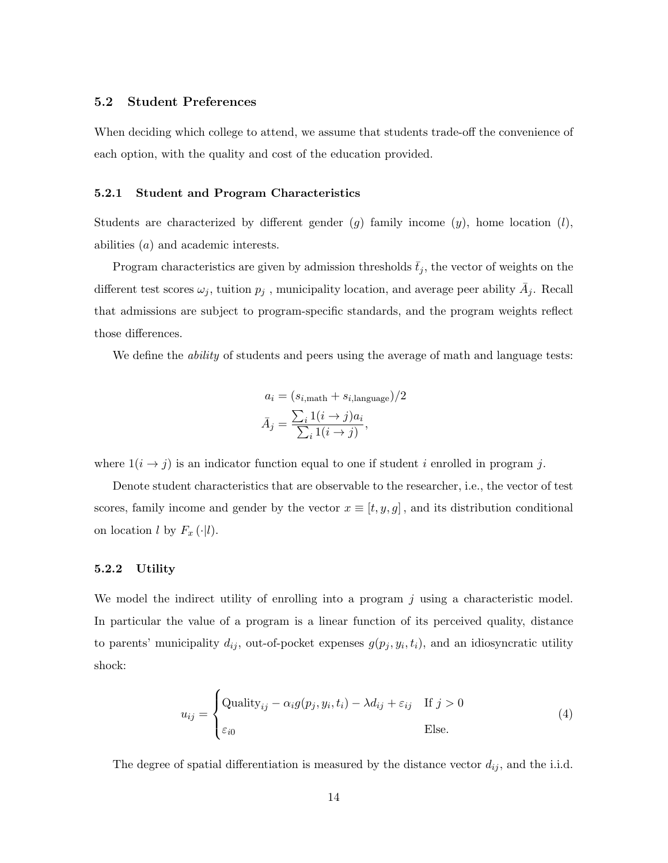#### 5.2 Student Preferences

When deciding which college to attend, we assume that students trade-off the convenience of each option, with the quality and cost of the education provided.

#### 5.2.1 Student and Program Characteristics

Students are characterized by different gender  $(q)$  family income  $(y)$ , home location  $(l)$ , abilities (*a*) and academic interests.

Program characteristics are given by admission thresholds  $\bar{t}_j$ , the vector of weights on the different test scores  $\omega_j$ , tuition  $p_j$ , municipality location, and average peer ability  $\bar{A}_j$ . Recall that admissions are subject to program-specific standards, and the program weights reflect those differences.

We define the *ability* of students and peers using the average of math and language tests:

$$
a_i = (s_{i, \text{math}} + s_{i, \text{language}})/2
$$

$$
\bar{A}_j = \frac{\sum_i 1(i \to j) a_i}{\sum_i 1(i \to j)},
$$

where  $1(i \rightarrow j)$  is an indicator function equal to one if student *i* enrolled in program *j*.

Denote student characteristics that are observable to the researcher, i.e., the vector of test scores, family income and gender by the vector  $x \equiv [t, y, g]$ , and its distribution conditional on location  $l$  by  $F_x(\cdot|l)$ .

#### 5.2.2 Utility

We model the indirect utility of enrolling into a program *j* using a characteristic model. In particular the value of a program is a linear function of its perceived quality, distance to parents' municipality  $d_{ij}$ , out-of-pocket expenses  $g(p_j, y_i, t_i)$ , and an idiosyncratic utility shock:

<span id="page-13-0"></span>
$$
u_{ij} = \begin{cases} \text{Quality}_{ij} - \alpha_i g(p_j, y_i, t_i) - \lambda d_{ij} + \varepsilon_{ij} & \text{If } j > 0\\ \varepsilon_{i0} & \text{Else.} \end{cases} \tag{4}
$$

The degree of spatial differentiation is measured by the distance vector  $d_{ij}$ , and the i.i.d.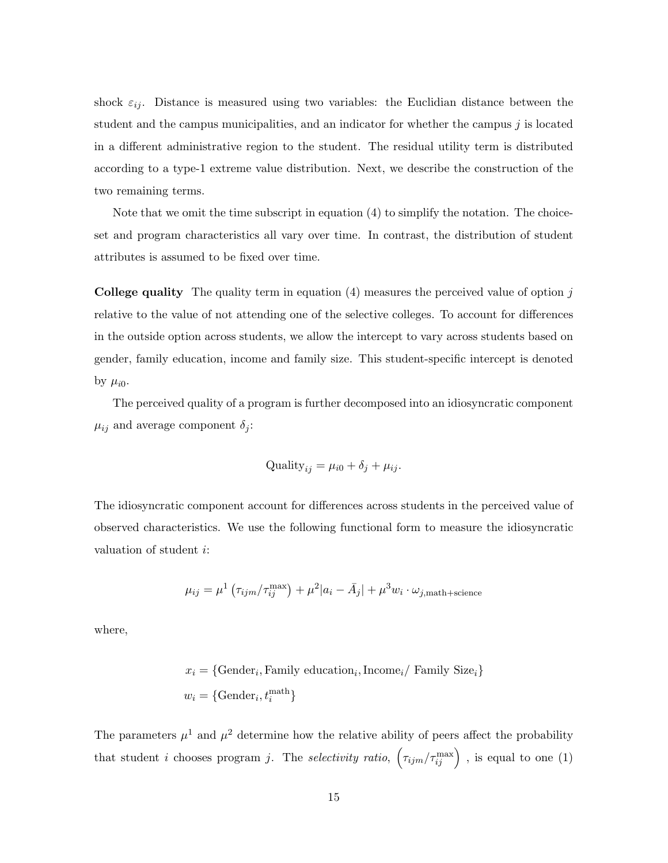shock  $\varepsilon_{ij}$ . Distance is measured using two variables: the Euclidian distance between the student and the campus municipalities, and an indicator for whether the campus *j* is located in a different administrative region to the student. The residual utility term is distributed according to a type-1 extreme value distribution. Next, we describe the construction of the two remaining terms.

Note that we omit the time subscript in equation [\(4\)](#page-13-0) to simplify the notation. The choiceset and program characteristics all vary over time. In contrast, the distribution of student attributes is assumed to be fixed over time.

College quality The quality term in equation [\(4\)](#page-13-0) measures the perceived value of option *j* relative to the value of not attending one of the selective colleges. To account for differences in the outside option across students, we allow the intercept to vary across students based on gender, family education, income and family size. This student-specific intercept is denoted by  $\mu_{i0}$ .

The perceived quality of a program is further decomposed into an idiosyncratic component  $\mu_{ij}$  and average component  $\delta_j$ :

$$
Quality_{ij} = \mu_{i0} + \delta_j + \mu_{ij}.
$$

The idiosyncratic component account for differences across students in the perceived value of observed characteristics. We use the following functional form to measure the idiosyncratic valuation of student *i*:

$$
\mu_{ij} = \mu^1 \left( \tau_{ijm} / \tau_{ij}^{\text{max}} \right) + \mu^2 |a_i - \bar{A}_j| + \mu^3 w_i \cdot \omega_{j,\text{math+science}}
$$

where,

$$
x_i = \{ \text{Gender}_i, \text{Family education}_i, \text{Income}_i / \text{ Family Size}_i \}
$$
  

$$
w_i = \{ \text{Gender}_i, t_i^{\text{math}} \}
$$

The parameters  $\mu^1$  and  $\mu^2$  determine how the relative ability of peers affect the probability that student *i* chooses program *j*. The *selectivity ratio*,  $(\tau_{ijm}/\tau_{ij}^{\max})$ , is equal to one (1)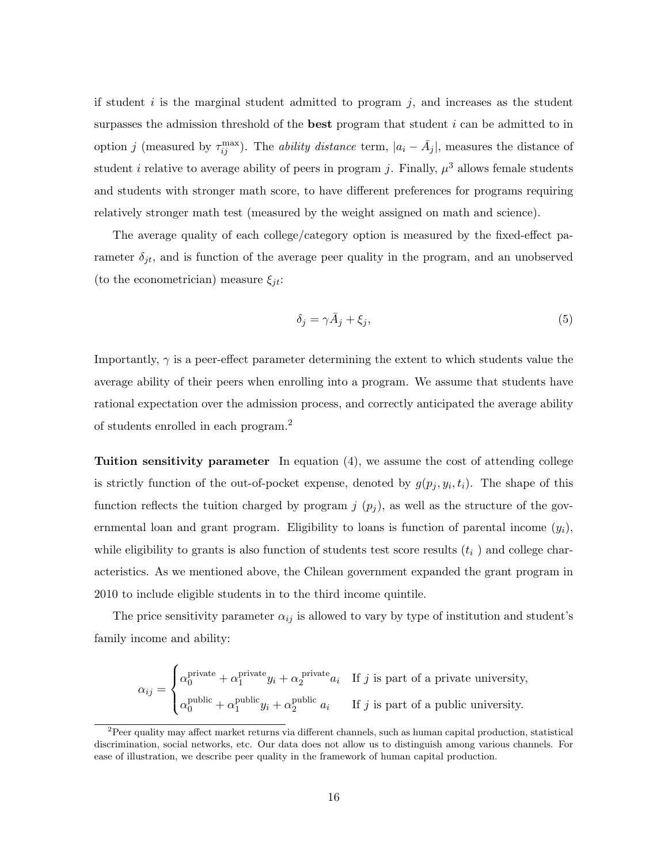if student *i* is the marginal student admitted to program *j*, and increases as the student surpasses the admission threshold of the best program that student *i* can be admitted to in option *j* (measured by  $\tau_{ij}^{\max}$ ). The *ability distance* term,  $|a_i - \bar{A}_j|$ , measures the distance of student *i* relative to average ability of peers in program *j*. Finally,  $\mu^3$  allows female students and students with stronger math score, to have different preferences for programs requiring relatively stronger math test (measured by the weight assigned on math and science).

The average quality of each college/category option is measured by the fixed-effect parameter  $\delta_{jt}$ , and is function of the average peer quality in the program, and an unobserved (to the econometrician) measure  $\xi_{jt}$ :

<span id="page-15-1"></span>
$$
\delta_j = \gamma \bar{A}_j + \xi_j,\tag{5}
$$

Importantly,  $\gamma$  is a peer-effect parameter determining the extent to which students value the average ability of their peers when enrolling into a program. We assume that students have rational expectation over the admission process, and correctly anticipated the average ability of students enrolled in each program.[2](#page-15-0)

Tuition sensitivity parameter In equation [\(4\)](#page-13-0), we assume the cost of attending college is strictly function of the out-of-pocket expense, denoted by  $g(p_j, y_i, t_i)$ . The shape of this function reflects the tuition charged by program  $j(p_j)$ , as well as the structure of the governmental loan and grant program. Eligibility to loans is function of parental income  $(y_i)$ , while eligibility to grants is also function of students test score results  $(t<sub>i</sub>)$  and college characteristics. As we mentioned above, the Chilean government expanded the grant program in 2010 to include eligible students in to the third income quintile.

The price sensitivity parameter  $\alpha_{ij}$  is allowed to vary by type of institution and student's family income and ability:

$$
\alpha_{ij} = \begin{cases} \alpha_0^{\text{private}} + \alpha_1^{\text{private}} y_i + \alpha_2^{\text{private}} a_i & \text{If } j \text{ is part of a private university,} \\ \alpha_0^{\text{public}} + \alpha_1^{\text{public}} y_i + \alpha_2^{\text{public}} a_i & \text{If } j \text{ is part of a public university.} \end{cases}
$$

<span id="page-15-0"></span> $2$ Peer quality may affect market returns via different channels, such as human capital production, statistical discrimination, social networks, etc. Our data does not allow us to distinguish among various channels. For ease of illustration, we describe peer quality in the framework of human capital production.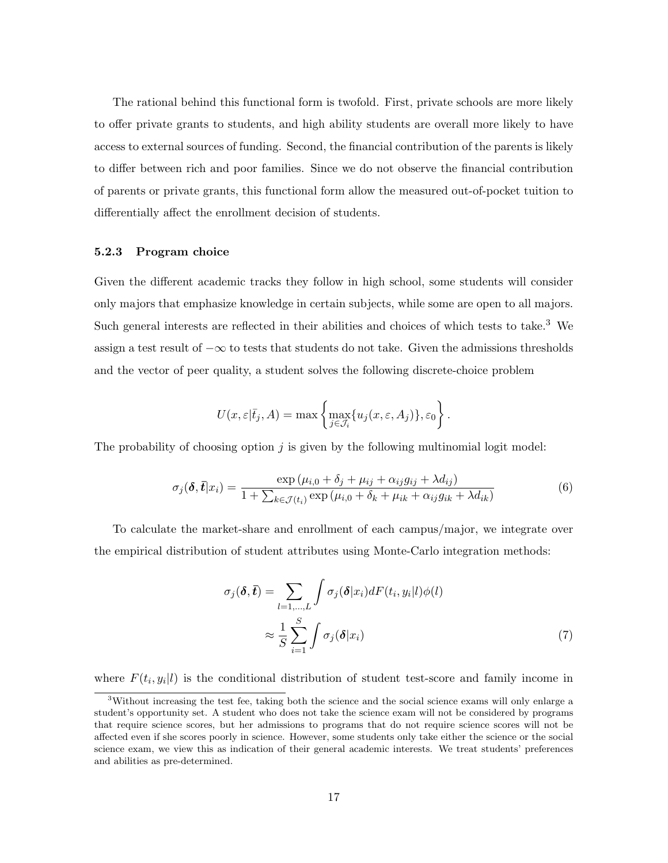The rational behind this functional form is twofold. First, private schools are more likely to offer private grants to students, and high ability students are overall more likely to have access to external sources of funding. Second, the financial contribution of the parents is likely to differ between rich and poor families. Since we do not observe the financial contribution of parents or private grants, this functional form allow the measured out-of-pocket tuition to differentially affect the enrollment decision of students.

#### 5.2.3 Program choice

Given the different academic tracks they follow in high school, some students will consider only majors that emphasize knowledge in certain subjects, while some are open to all majors. Such general interests are reflected in their abilities and choices of which tests to take.[3](#page-16-0) We assign a test result of  $-\infty$  to tests that students do not take. Given the admissions thresholds and the vector of peer quality, a student solves the following discrete-choice problem

$$
U(x,\varepsilon|\bar t_j,A)=\max\left\{\max_{j\in\mathcal J_i}\{u_j(x,\varepsilon,A_j)\},\varepsilon_0\right\}.
$$

The probability of choosing option *j* is given by the following multinomial logit model:

$$
\sigma_j(\boldsymbol{\delta}, \boldsymbol{\bar{t}} | x_i) = \frac{\exp(\mu_{i,0} + \delta_j + \mu_{ij} + \alpha_{ij} g_{ij} + \lambda d_{ij})}{1 + \sum_{k \in \mathcal{J}(t_i)} \exp(\mu_{i,0} + \delta_k + \mu_{ik} + \alpha_{ij} g_{ik} + \lambda d_{ik})}
$$
(6)

To calculate the market-share and enrollment of each campus/major, we integrate over the empirical distribution of student attributes using Monte-Carlo integration methods:

$$
\sigma_j(\boldsymbol{\delta}, \bar{\boldsymbol{t}}) = \sum_{l=1,\dots,L} \int \sigma_j(\boldsymbol{\delta}|x_i) dF(t_i, y_i|l) \phi(l)
$$

$$
\approx \frac{1}{S} \sum_{i=1}^S \int \sigma_j(\boldsymbol{\delta}|x_i)
$$
(7)

where  $F(t_i, y_i | l)$  is the conditional distribution of student test-score and family income in

<span id="page-16-0"></span><sup>3</sup>Without increasing the test fee, taking both the science and the social science exams will only enlarge a student's opportunity set. A student who does not take the science exam will not be considered by programs that require science scores, but her admissions to programs that do not require science scores will not be affected even if she scores poorly in science. However, some students only take either the science or the social science exam, we view this as indication of their general academic interests. We treat students' preferences and abilities as pre-determined.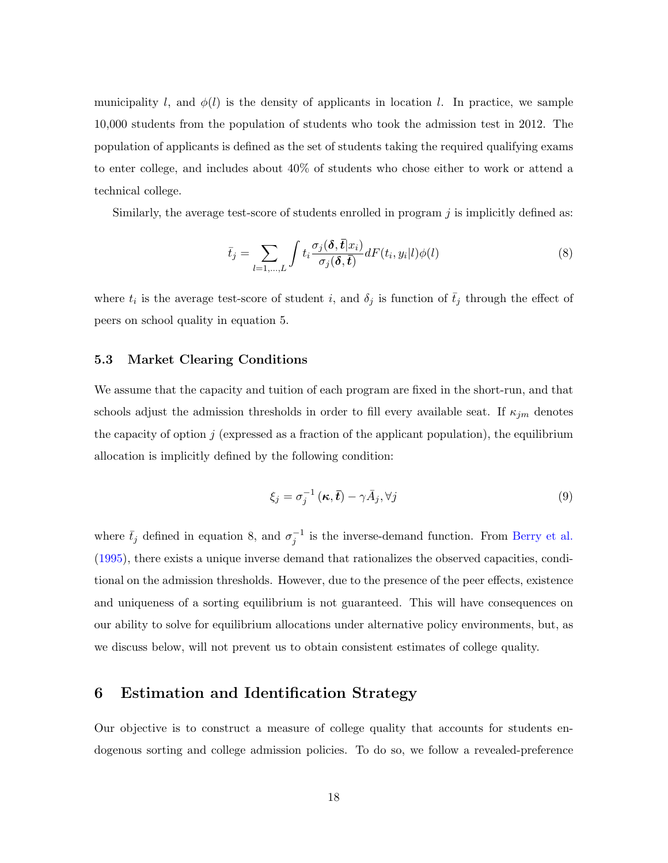municipality *l*, and  $\phi(l)$  is the density of applicants in location *l*. In practice, we sample 10,000 students from the population of students who took the admission test in 2012. The population of applicants is defined as the set of students taking the required qualifying exams to enter college, and includes about 40% of students who chose either to work or attend a technical college.

Similarly, the average test-score of students enrolled in program *j* is implicitly defined as:

<span id="page-17-0"></span>
$$
\bar{t}_j = \sum_{l=1,\dots,L} \int t_i \frac{\sigma_j(\delta, \bar{t}|x_i)}{\sigma_j(\delta, \bar{t})} dF(t_i, y_i|l) \phi(l)
$$
\n(8)

where  $t_i$  is the average test-score of student *i*, and  $\delta_j$  is function of  $\bar{t}_j$  through the effect of peers on school quality in equation [5.](#page-15-1)

#### 5.3 Market Clearing Conditions

We assume that the capacity and tuition of each program are fixed in the short-run, and that schools adjust the admission thresholds in order to fill every available seat. If  $\kappa_{jm}$  denotes the capacity of option  $j$  (expressed as a fraction of the applicant population), the equilibrium allocation is implicitly defined by the following condition:

$$
\xi_j = \sigma_j^{-1}(\kappa, \bar{t}) - \gamma \bar{A}_j, \forall j
$$
\n(9)

where  $\bar{t}_j$  defined in equation [8,](#page-17-0) and  $\sigma_j^{-1}$  is the inverse-demand function. From [Berry et al.](#page-24-0) [\(1995\)](#page-24-0), there exists a unique inverse demand that rationalizes the observed capacities, conditional on the admission thresholds. However, due to the presence of the peer effects, existence and uniqueness of a sorting equilibrium is not guaranteed. This will have consequences on our ability to solve for equilibrium allocations under alternative policy environments, but, as we discuss below, will not prevent us to obtain consistent estimates of college quality.

### 6 Estimation and Identification Strategy

Our objective is to construct a measure of college quality that accounts for students endogenous sorting and college admission policies. To do so, we follow a revealed-preference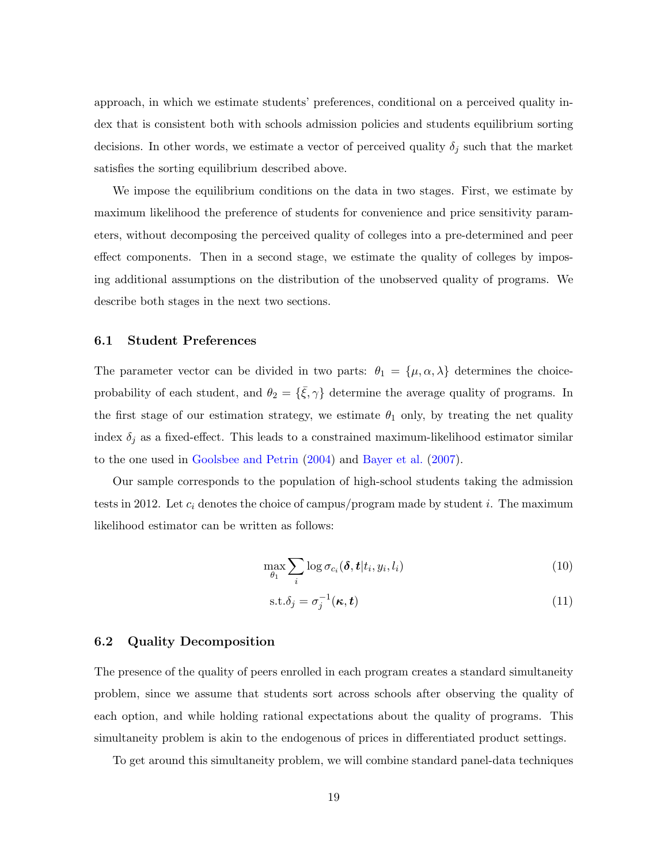approach, in which we estimate students' preferences, conditional on a perceived quality index that is consistent both with schools admission policies and students equilibrium sorting decisions. In other words, we estimate a vector of perceived quality  $\delta_j$  such that the market satisfies the sorting equilibrium described above.

We impose the equilibrium conditions on the data in two stages. First, we estimate by maximum likelihood the preference of students for convenience and price sensitivity parameters, without decomposing the perceived quality of colleges into a pre-determined and peer effect components. Then in a second stage, we estimate the quality of colleges by imposing additional assumptions on the distribution of the unobserved quality of programs. We describe both stages in the next two sections.

#### 6.1 Student Preferences

The parameter vector can be divided in two parts:  $\theta_1 = {\mu, \alpha, \lambda}$  determines the choiceprobability of each student, and  $\theta_2 = {\bar{\xi}, \gamma}$  determine the average quality of programs. In the first stage of our estimation strategy, we estimate  $\theta_1$  only, by treating the net quality index  $\delta_j$  as a fixed-effect. This leads to a constrained maximum-likelihood estimator similar to the one used in [Goolsbee and Petrin](#page-25-11) [\(2004\)](#page-25-11) and [Bayer et al.](#page-24-4) [\(2007\)](#page-24-4).

Our sample corresponds to the population of high-school students taking the admission tests in 2012. Let *c<sup>i</sup>* denotes the choice of campus/program made by student *i*. The maximum likelihood estimator can be written as follows:

$$
\max_{\theta_1} \sum_i \log \sigma_{c_i}(\boldsymbol{\delta}, t | t_i, y_i, l_i)
$$
\n(10)

$$
s.t. \delta_j = \sigma_j^{-1}(\kappa, t) \tag{11}
$$

#### 6.2 Quality Decomposition

The presence of the quality of peers enrolled in each program creates a standard simultaneity problem, since we assume that students sort across schools after observing the quality of each option, and while holding rational expectations about the quality of programs. This simultaneity problem is akin to the endogenous of prices in differentiated product settings.

To get around this simultaneity problem, we will combine standard panel-data techniques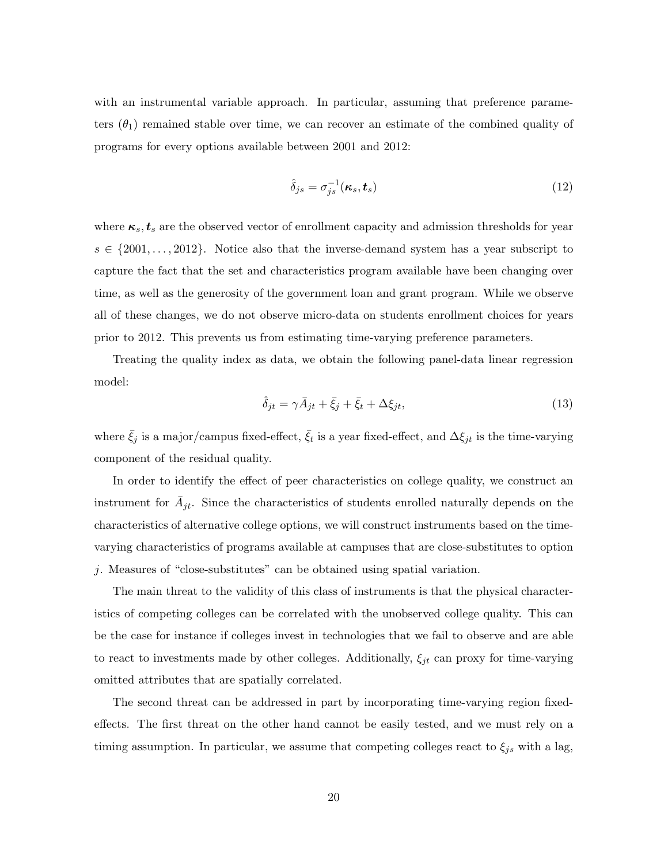with an instrumental variable approach. In particular, assuming that preference parameters  $(\theta_1)$  remained stable over time, we can recover an estimate of the combined quality of programs for every options available between 2001 and 2012:

$$
\hat{\delta}_{js} = \sigma_{js}^{-1}(\kappa_s, \boldsymbol{t}_s) \tag{12}
$$

where  $\kappa_s$ ,  $t_s$  are the observed vector of enrollment capacity and admission thresholds for year  $s \in \{2001, \ldots, 2012\}$ . Notice also that the inverse-demand system has a year subscript to capture the fact that the set and characteristics program available have been changing over time, as well as the generosity of the government loan and grant program. While we observe all of these changes, we do not observe micro-data on students enrollment choices for years prior to 2012. This prevents us from estimating time-varying preference parameters.

Treating the quality index as data, we obtain the following panel-data linear regression model:

$$
\hat{\delta}_{jt} = \gamma \bar{A}_{jt} + \bar{\xi}_j + \bar{\xi}_t + \Delta \xi_{jt},\tag{13}
$$

where  $\bar{\xi}_j$  is a major/campus fixed-effect,  $\bar{\xi}_t$  is a year fixed-effect, and  $\Delta \xi_{jt}$  is the time-varying component of the residual quality.

In order to identify the effect of peer characteristics on college quality, we construct an instrument for  $A_{jt}$ . Since the characteristics of students enrolled naturally depends on the characteristics of alternative college options, we will construct instruments based on the timevarying characteristics of programs available at campuses that are close-substitutes to option *j*. Measures of "close-substitutes" can be obtained using spatial variation.

The main threat to the validity of this class of instruments is that the physical characteristics of competing colleges can be correlated with the unobserved college quality. This can be the case for instance if colleges invest in technologies that we fail to observe and are able to react to investments made by other colleges. Additionally,  $\xi_{jt}$  can proxy for time-varying omitted attributes that are spatially correlated.

The second threat can be addressed in part by incorporating time-varying region fixedeffects. The first threat on the other hand cannot be easily tested, and we must rely on a timing assumption. In particular, we assume that competing colleges react to  $\xi_{js}$  with a lag,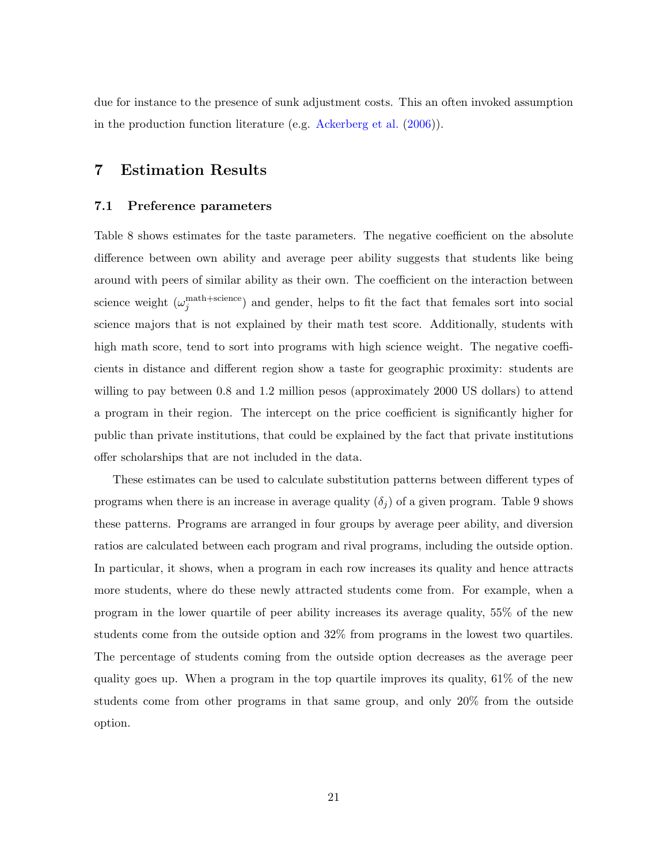due for instance to the presence of sunk adjustment costs. This an often invoked assumption in the production function literature (e.g. [Ackerberg et al.](#page-24-5) [\(2006\)](#page-24-5)).

## 7 Estimation Results

#### 7.1 Preference parameters

Table [8](#page-33-0) shows estimates for the taste parameters. The negative coefficient on the absolute difference between own ability and average peer ability suggests that students like being around with peers of similar ability as their own. The coefficient on the interaction between science weight  $(\omega_j^{\text{math+science}})$  and gender, helps to fit the fact that females sort into social science majors that is not explained by their math test score. Additionally, students with high math score, tend to sort into programs with high science weight. The negative coefficients in distance and different region show a taste for geographic proximity: students are willing to pay between 0.8 and 1.2 million pesos (approximately 2000 US dollars) to attend a program in their region. The intercept on the price coefficient is significantly higher for public than private institutions, that could be explained by the fact that private institutions offer scholarships that are not included in the data.

These estimates can be used to calculate substitution patterns between different types of programs when there is an increase in average quality  $(\delta_i)$  of a given program. Table [9](#page-34-0) shows these patterns. Programs are arranged in four groups by average peer ability, and diversion ratios are calculated between each program and rival programs, including the outside option. In particular, it shows, when a program in each row increases its quality and hence attracts more students, where do these newly attracted students come from. For example, when a program in the lower quartile of peer ability increases its average quality, 55% of the new students come from the outside option and 32% from programs in the lowest two quartiles. The percentage of students coming from the outside option decreases as the average peer quality goes up. When a program in the top quartile improves its quality,  $61\%$  of the new students come from other programs in that same group, and only 20% from the outside option.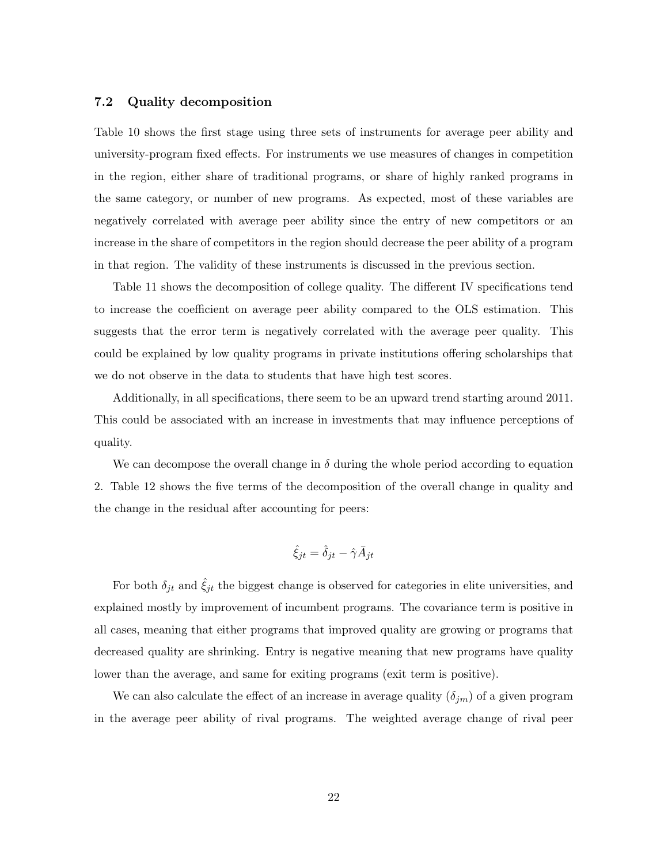#### 7.2 Quality decomposition

Table [10](#page-35-0) shows the first stage using three sets of instruments for average peer ability and university-program fixed effects. For instruments we use measures of changes in competition in the region, either share of traditional programs, or share of highly ranked programs in the same category, or number of new programs. As expected, most of these variables are negatively correlated with average peer ability since the entry of new competitors or an increase in the share of competitors in the region should decrease the peer ability of a program in that region. The validity of these instruments is discussed in the previous section.

Table [11](#page-36-0) shows the decomposition of college quality. The different IV specifications tend to increase the coefficient on average peer ability compared to the OLS estimation. This suggests that the error term is negatively correlated with the average peer quality. This could be explained by low quality programs in private institutions offering scholarships that we do not observe in the data to students that have high test scores.

Additionally, in all specifications, there seem to be an upward trend starting around 2011. This could be associated with an increase in investments that may influence perceptions of quality.

We can decompose the overall change in  $\delta$  during the whole period according to equation [2.](#page-9-0) Table [12](#page-37-0) shows the five terms of the decomposition of the overall change in quality and the change in the residual after accounting for peers:

$$
\hat{\xi}_{jt} = \hat{\delta}_{jt} - \hat{\gamma} \bar{A}_{jt}
$$

For both  $\delta_{jt}$  and  $\hat{\xi}_{jt}$  the biggest change is observed for categories in elite universities, and explained mostly by improvement of incumbent programs. The covariance term is positive in all cases, meaning that either programs that improved quality are growing or programs that decreased quality are shrinking. Entry is negative meaning that new programs have quality lower than the average, and same for exiting programs (exit term is positive).

We can also calculate the effect of an increase in average quality  $(\delta_{im})$  of a given program in the average peer ability of rival programs. The weighted average change of rival peer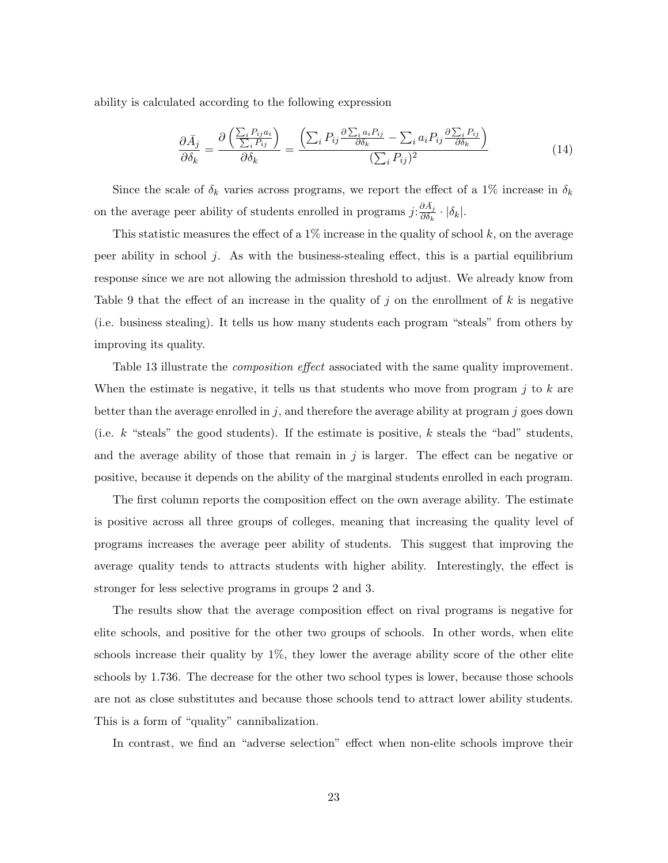ability is calculated according to the following expression

$$
\frac{\partial \bar{A}_j}{\partial \delta_k} = \frac{\partial \left( \frac{\sum_i P_{ij} a_i}{\sum_i P_{ij}} \right)}{\partial \delta_k} = \frac{\left( \sum_i P_{ij} \frac{\partial \sum_i a_i P_{ij}}{\partial \delta_k} - \sum_i a_i P_{ij} \frac{\partial \sum_i P_{ij}}{\partial \delta_k} \right)}{(\sum_i P_{ij})^2} \tag{14}
$$

Since the scale of  $\delta_k$  varies across programs, we report the effect of a 1% increase in  $\delta_k$ on the average peer ability of students enrolled in programs  $j: \frac{\partial \bar{A}_j}{\partial \delta_k} \cdot |\delta_k|$ .

This statistic measures the effect of a  $1\%$  increase in the quality of school  $k$ , on the average peer ability in school  $j$ . As with the business-stealing effect, this is a partial equilibrium response since we are not allowing the admission threshold to adjust. We already know from Table [9](#page-34-0) that the effect of an increase in the quality of  $j$  on the enrollment of  $k$  is negative (i.e. business stealing). It tells us how many students each program "steals" from others by improving its quality.

Table [13](#page-38-0) illustrate the *composition effect* associated with the same quality improvement. When the estimate is negative, it tells us that students who move from program *j* to *k* are better than the average enrolled in *j*, and therefore the average ability at program *j* goes down (i.e. *k* "steals" the good students). If the estimate is positive, *k* steals the "bad" students, and the average ability of those that remain in  $j$  is larger. The effect can be negative or positive, because it depends on the ability of the marginal students enrolled in each program.

The first column reports the composition effect on the own average ability. The estimate is positive across all three groups of colleges, meaning that increasing the quality level of programs increases the average peer ability of students. This suggest that improving the average quality tends to attracts students with higher ability. Interestingly, the effect is stronger for less selective programs in groups 2 and 3.

The results show that the average composition effect on rival programs is negative for elite schools, and positive for the other two groups of schools. In other words, when elite schools increase their quality by 1%, they lower the average ability score of the other elite schools by 1.736. The decrease for the other two school types is lower, because those schools are not as close substitutes and because those schools tend to attract lower ability students. This is a form of "quality" cannibalization.

In contrast, we find an "adverse selection" effect when non-elite schools improve their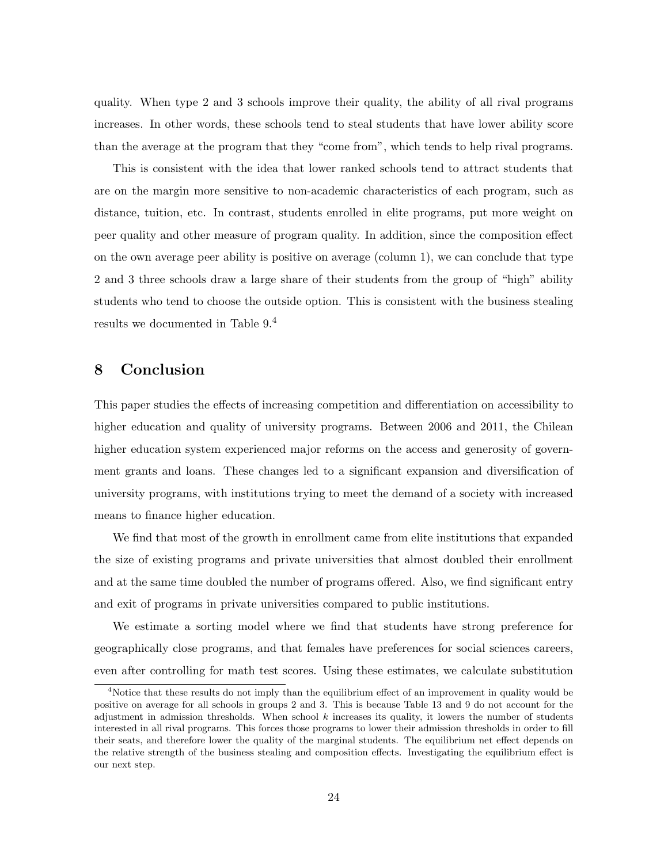quality. When type 2 and 3 schools improve their quality, the ability of all rival programs increases. In other words, these schools tend to steal students that have lower ability score than the average at the program that they "come from", which tends to help rival programs.

This is consistent with the idea that lower ranked schools tend to attract students that are on the margin more sensitive to non-academic characteristics of each program, such as distance, tuition, etc. In contrast, students enrolled in elite programs, put more weight on peer quality and other measure of program quality. In addition, since the composition effect on the own average peer ability is positive on average (column 1), we can conclude that type 2 and 3 three schools draw a large share of their students from the group of "high" ability students who tend to choose the outside option. This is consistent with the business stealing results we documented in Table [9.](#page-34-0) [4](#page-23-0)

## 8 Conclusion

This paper studies the effects of increasing competition and differentiation on accessibility to higher education and quality of university programs. Between 2006 and 2011, the Chilean higher education system experienced major reforms on the access and generosity of government grants and loans. These changes led to a significant expansion and diversification of university programs, with institutions trying to meet the demand of a society with increased means to finance higher education.

We find that most of the growth in enrollment came from elite institutions that expanded the size of existing programs and private universities that almost doubled their enrollment and at the same time doubled the number of programs offered. Also, we find significant entry and exit of programs in private universities compared to public institutions.

We estimate a sorting model where we find that students have strong preference for geographically close programs, and that females have preferences for social sciences careers, even after controlling for math test scores. Using these estimates, we calculate substitution

<span id="page-23-0"></span><sup>&</sup>lt;sup>4</sup>Notice that these results do not imply than the equilibrium effect of an improvement in quality would be positive on average for all schools in groups 2 and 3. This is because Table [13](#page-38-0) and [9](#page-34-0) do not account for the adjustment in admission thresholds. When school *k* increases its quality, it lowers the number of students interested in all rival programs. This forces those programs to lower their admission thresholds in order to fill their seats, and therefore lower the quality of the marginal students. The equilibrium net effect depends on the relative strength of the business stealing and composition effects. Investigating the equilibrium effect is our next step.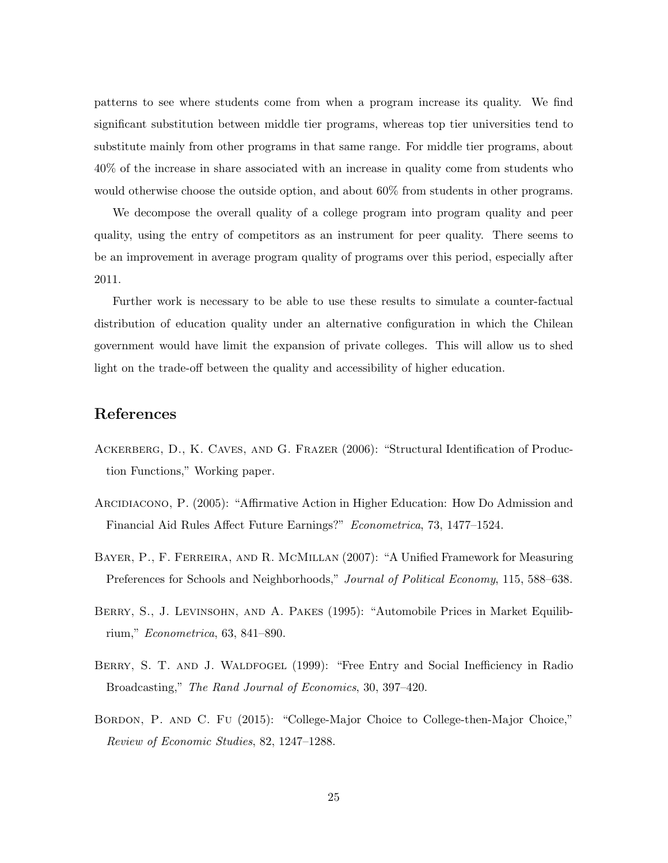patterns to see where students come from when a program increase its quality. We find significant substitution between middle tier programs, whereas top tier universities tend to substitute mainly from other programs in that same range. For middle tier programs, about 40% of the increase in share associated with an increase in quality come from students who would otherwise choose the outside option, and about 60% from students in other programs.

We decompose the overall quality of a college program into program quality and peer quality, using the entry of competitors as an instrument for peer quality. There seems to be an improvement in average program quality of programs over this period, especially after 2011.

Further work is necessary to be able to use these results to simulate a counter-factual distribution of education quality under an alternative configuration in which the Chilean government would have limit the expansion of private colleges. This will allow us to shed light on the trade-off between the quality and accessibility of higher education.

## References

- <span id="page-24-5"></span>Ackerberg, D., K. Caves, and G. Frazer (2006): "Structural Identification of Production Functions," Working paper.
- <span id="page-24-2"></span>ARCIDIACONO, P. (2005): "Affirmative Action in Higher Education: How Do Admission and Financial Aid Rules A↵ect Future Earnings?" *Econometrica*, 73, 1477–1524.
- <span id="page-24-4"></span>Bayer, P., F. Ferreira, and R. McMillan (2007): "A Unified Framework for Measuring Preferences for Schools and Neighborhoods," *Journal of Political Economy*, 115, 588–638.
- <span id="page-24-0"></span>Berry, S., J. Levinsohn, and A. Pakes (1995): "Automobile Prices in Market Equilibrium," *Econometrica*, 63, 841–890.
- <span id="page-24-1"></span>BERRY, S. T. AND J. WALDFOGEL (1999): "Free Entry and Social Inefficiency in Radio Broadcasting," *The Rand Journal of Economics*, 30, 397–420.
- <span id="page-24-3"></span>Bordon, P. and C. Fu (2015): "College-Major Choice to College-then-Major Choice," *Review of Economic Studies*, 82, 1247–1288.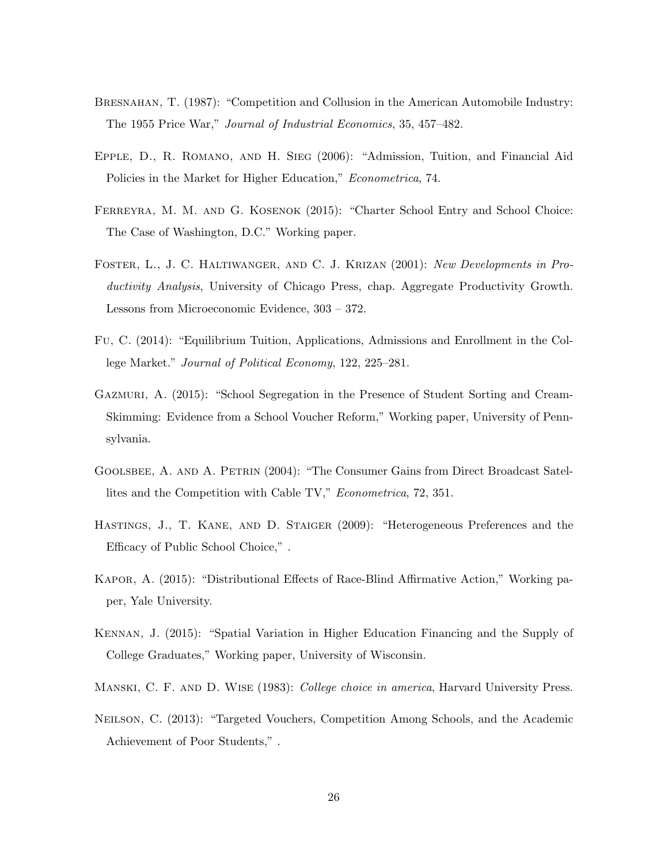- <span id="page-25-1"></span>BRESNAHAN, T. (1987): "Competition and Collusion in the American Automobile Industry: The 1955 Price War," *Journal of Industrial Economics*, 35, 457–482.
- <span id="page-25-0"></span>Epple, D., R. Romano, and H. Sieg (2006): "Admission, Tuition, and Financial Aid Policies in the Market for Higher Education," *Econometrica*, 74.
- <span id="page-25-9"></span>Ferreyra, M. M. and G. Kosenok (2015): "Charter School Entry and School Choice: The Case of Washington, D.C." Working paper.
- <span id="page-25-2"></span>Foster, L., J. C. Haltiwanger, and C. J. Krizan (2001): *New Developments in Productivity Analysis*, University of Chicago Press, chap. Aggregate Productivity Growth. Lessons from Microeconomic Evidence, 303 – 372.
- <span id="page-25-5"></span>Fu, C. (2014): "Equilibrium Tuition, Applications, Admissions and Enrollment in the College Market." *Journal of Political Economy*, 122, 225–281.
- <span id="page-25-10"></span>Gazmuri, A. (2015): "School Segregation in the Presence of Student Sorting and Cream-Skimming: Evidence from a School Voucher Reform," Working paper, University of Pennsylvania.
- <span id="page-25-11"></span>Goolsbee, A. and A. Petrin (2004): "The Consumer Gains from Direct Broadcast Satellites and the Competition with Cable TV," *Econometrica*, 72, 351.
- <span id="page-25-7"></span>Hastings, J., T. Kane, and D. Staiger (2009): "Heterogeneous Preferences and the Efficacy of Public School Choice,".
- <span id="page-25-4"></span>KAPOR, A. (2015): "Distributional Effects of Race-Blind Affirmative Action," Working paper, Yale University.
- <span id="page-25-6"></span>Kennan, J. (2015): "Spatial Variation in Higher Education Financing and the Supply of College Graduates," Working paper, University of Wisconsin.
- <span id="page-25-3"></span>Manski, C. F. and D. Wise (1983): *College choice in america*, Harvard University Press.
- <span id="page-25-8"></span>Neilson, C. (2013): "Targeted Vouchers, Competition Among Schools, and the Academic Achievement of Poor Students," .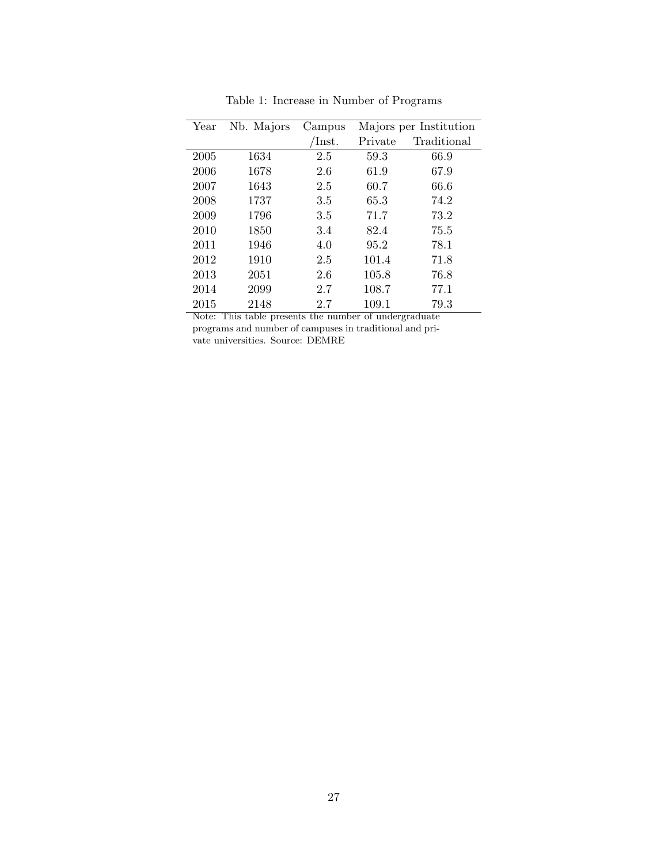<span id="page-26-0"></span>

| Year | Nb. Majors | Campus                 | Majors per Institution |             |
|------|------------|------------------------|------------------------|-------------|
|      |            | $\operatorname{Inst.}$ | Private                | Traditional |
| 2005 | 1634       | 2.5                    | 59.3                   | 66.9        |
| 2006 | 1678       | 2.6                    | 61.9                   | 67.9        |
| 2007 | 1643       | 2.5                    | 60.7                   | 66.6        |
| 2008 | 1737       | 3.5                    | 65.3                   | 74.2        |
| 2009 | 1796       | 3.5                    | 71.7                   | 73.2        |
| 2010 | 1850       | 3.4                    | 82.4                   | 75.5        |
| 2011 | 1946       | 4.0                    | 95.2                   | 78.1        |
| 2012 | 1910       | 2.5                    | 101.4                  | 71.8        |
| 2013 | 2051       | 2.6                    | 105.8                  | 76.8        |
| 2014 | 2099       | 2.7                    | 108.7                  | 77.1        |
| 2015 | 2148       | 2.7                    | 109.1                  | 79.3        |

Table 1: Increase in Number of Programs

Note: This table presents the number of undergraduate programs and number of campuses in traditional and private universities. Source: DEMRE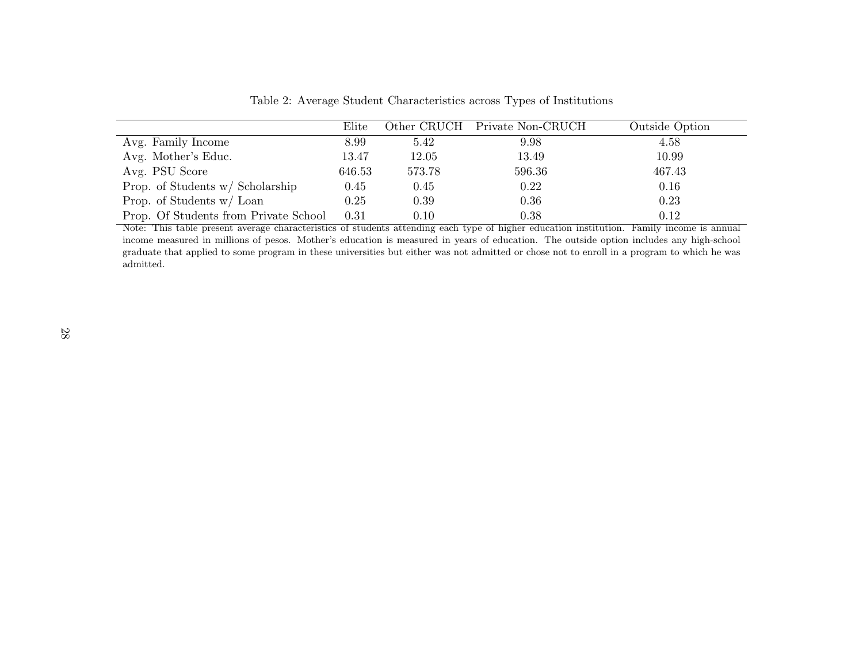|                                       | Elite  |        | Other CRUCH Private Non-CRUCH | Outside Option |
|---------------------------------------|--------|--------|-------------------------------|----------------|
| Avg. Family Income                    | 8.99   | 5.42   | 9.98                          | 4.58           |
| Avg. Mother's Educ.                   | 13.47  | 12.05  | 13.49                         | 10.99          |
| Avg. PSU Score                        | 646.53 | 573.78 | 596.36                        | 467.43         |
| Prop. of Students $w/$ Scholarship    | 0.45   | 0.45   | 0.22                          | 0.16           |
| Prop. of Students w/ Loan             | 0.25   | 0.39   | 0.36                          | 0.23           |
| Prop. Of Students from Private School | 0.31   | 0.10   | 0.38                          | 0.12           |

<span id="page-27-0"></span>Table 2: Average Student Characteristics across Types of Institutions

Note: This table present average characteristics of students attending each type of higher education institution. Family income is annual income measured in millions of pesos. Mother's education is measured in years of education. The outside option includes any high-school graduate that applied to some program in these universities but either was not admitted or chose not to enroll in <sup>a</sup> program to which he was admitted.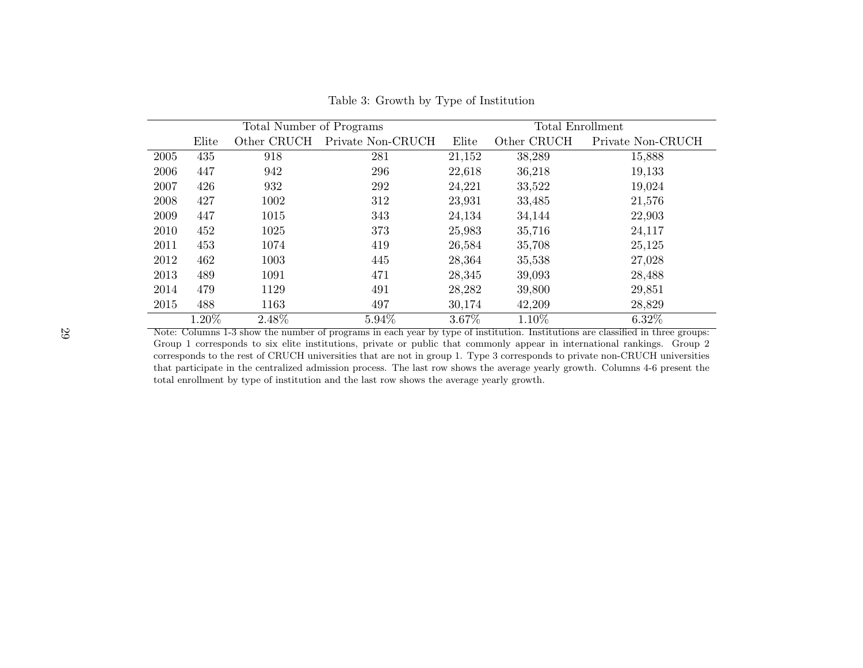|      | Total Number of Programs |             |                   | Total Enrollment |             |                   |  |
|------|--------------------------|-------------|-------------------|------------------|-------------|-------------------|--|
|      | Elite                    | Other CRUCH | Private Non-CRUCH | Elite            | Other CRUCH | Private Non-CRUCH |  |
| 2005 | 435                      | 918         | 281               | 21,152           | 38,289      | 15,888            |  |
| 2006 | 447                      | 942         | 296               | 22,618           | 36,218      | 19,133            |  |
| 2007 | 426                      | 932         | 292               | 24,221           | 33,522      | 19,024            |  |
| 2008 | 427                      | 1002        | 312               | 23,931           | 33,485      | 21,576            |  |
| 2009 | 447                      | 1015        | 343               | 24,134           | 34,144      | 22,903            |  |
| 2010 | 452                      | 1025        | 373               | 25,983           | 35,716      | 24,117            |  |
| 2011 | 453                      | 1074        | 419               | 26,584           | 35,708      | 25,125            |  |
| 2012 | 462                      | 1003        | 445               | 28,364           | 35,538      | 27,028            |  |
| 2013 | 489                      | 1091        | 471               | 28,345           | 39,093      | 28,488            |  |
| 2014 | 479                      | 1129        | 491               | 28,282           | 39,800      | 29,851            |  |
| 2015 | 488                      | 1163        | 497               | 30,174           | 42,209      | 28,829            |  |
|      | 1.20%                    | 2.48%       | 5.94%             | 3.67%            | 1.10%       | 6.32%             |  |

Table 3: Growth by Type of Institution

<span id="page-28-0"></span>Note: Columns 1-3 show the number of programs in each year by type of institution. Institutions are classified in three groups: Group 1 corresponds to six elite institutions, private or public that commonly appear in international rankings. Group 2 corresponds to the rest of CRUCH universities that are not in group 1. Type 3 corresponds to private non-CRUCH universities that participate in the centralized admission process. The last row shows the average yearly growth. Columns 4-6 present the total enrollment by type of institution and the last row shows the average yearly growth.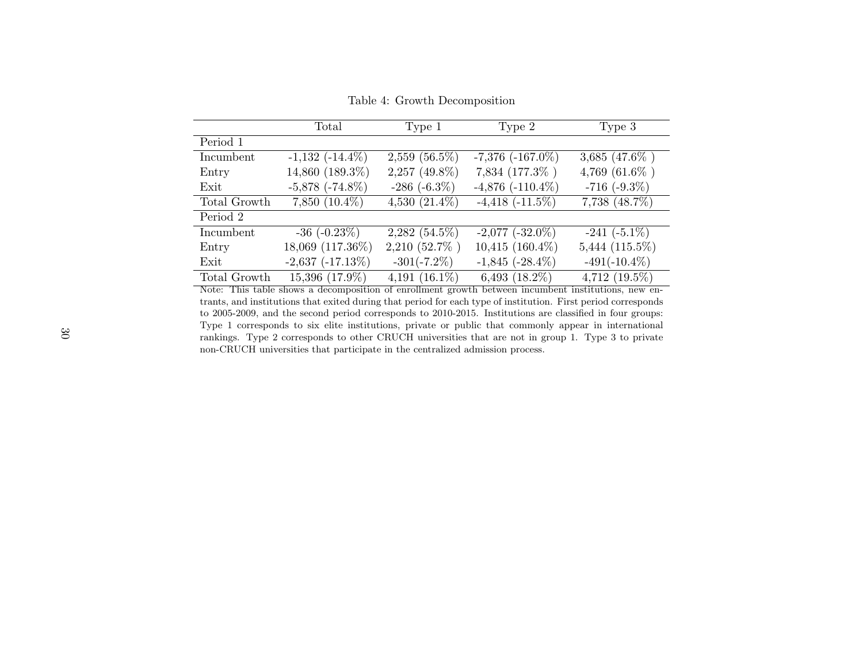|              | Total                 | Type 1             | Type 2                | Type 3              |
|--------------|-----------------------|--------------------|-----------------------|---------------------|
| Period 1     |                       |                    |                       |                     |
| Incumbent    | $-1,132$ $(-14.4\%)$  | $2,559$ $(56.5\%)$ | $-7,376$ $(-167.0\%)$ | $3,685$ (47.6%)     |
| Entry        | 14,860 (189.3%)       | $2,257$ (49.8%)    | 7,834 (177.3%)        | 4,769 (61.6%)       |
| Exit         | $-5,878$ $(-74.8\%)$  | $-286$ $(-6.3\%)$  | $-4,876$ $(-110.4\%)$ | $-716$ $(-9.3\%)$   |
| Total Growth | $7,850(10.4\%)$       | 4,530 $(21.4\%)$   | $-4,418$ $(-11.5\%)$  | $7,738$ $(48.7\%)$  |
| Period 2     |                       |                    |                       |                     |
| Incumbent    | $-36$ $(-0.23\%)$     | $2,282$ (54.5%)    | $-2,077$ $(-32.0\%)$  | $-241$ $(-5.1\%)$   |
| Entry        | 18,069 (117.36%)      | 2,210 (52.7%)      | $10,415$ $(160.4\%)$  | $5,444$ $(115.5\%)$ |
| Exit         | $-2,637$ $(-17.13\%)$ | $-301(-7.2\%)$     | $-1,845$ $(-28.4\%)$  | $-491(-10.4\%)$     |
| Total Growth | 15,396 (17.9%)        | 4,191 $(16.1\%)$   | $6,493$ $(18.2\%)$    | $4,712$ $(19.5\%)$  |

Table 4: Growth Decomposition

<span id="page-29-0"></span>Note: This table shows <sup>a</sup> decomposition of enrollment growth between incumbent institutions, new entrants, and institutions that exited during that period for each type of institution. First period corresponds to 2005-2009, and the second period corresponds to 2010-2015. Institutions are classified in four groups: Type 1 corresponds to six elite institutions, private or public that commonly appear in international rankings. Type 2 corresponds to other CRUCH universities that are not in group 1. Type 3 to private non-CRUCH universities that participate in the centralized admission process.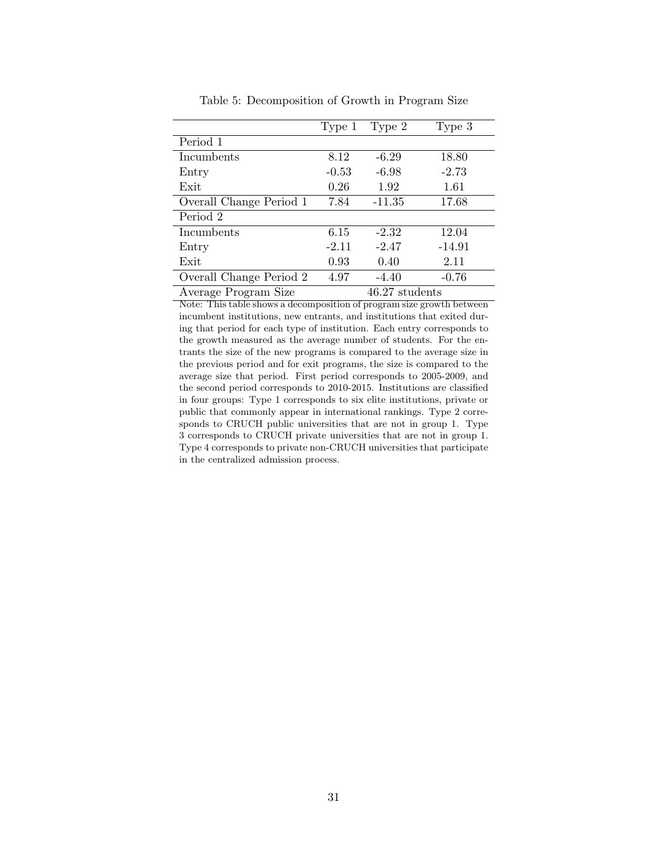<span id="page-30-0"></span>

|                         | Type 1  | Type 2         | Type 3   |
|-------------------------|---------|----------------|----------|
| Period 1                |         |                |          |
| Incumbents              | 8.12    | $-6.29$        | 18.80    |
| Entry                   | $-0.53$ | $-6.98$        | $-2.73$  |
| Exit                    | 0.26    | 1.92           | 1.61     |
| Overall Change Period 1 | 7.84    | $-11.35$       | 17.68    |
| Period 2                |         |                |          |
| Incumbents              | 6.15    | $-2.32$        | 12.04    |
| Entry                   | $-2.11$ | $-2.47$        | $-14.91$ |
| Exit                    | 0.93    | 0.40           | 2.11     |
| Overall Change Period 2 | 4.97    | $-4.40$        | $-0.76$  |
| Average Program Size    |         | 46.27 students |          |

Table 5: Decomposition of Growth in Program Size

Note: This table shows a decomposition of program size growth between incumbent institutions, new entrants, and institutions that exited during that period for each type of institution. Each entry corresponds to the growth measured as the average number of students. For the entrants the size of the new programs is compared to the average size in the previous period and for exit programs, the size is compared to the average size that period. First period corresponds to 2005-2009, and the second period corresponds to 2010-2015. Institutions are classified in four groups: Type 1 corresponds to six elite institutions, private or public that commonly appear in international rankings. Type 2 corresponds to CRUCH public universities that are not in group 1. Type 3 corresponds to CRUCH private universities that are not in group 1. Type 4 corresponds to private non-CRUCH universities that participate in the centralized admission process.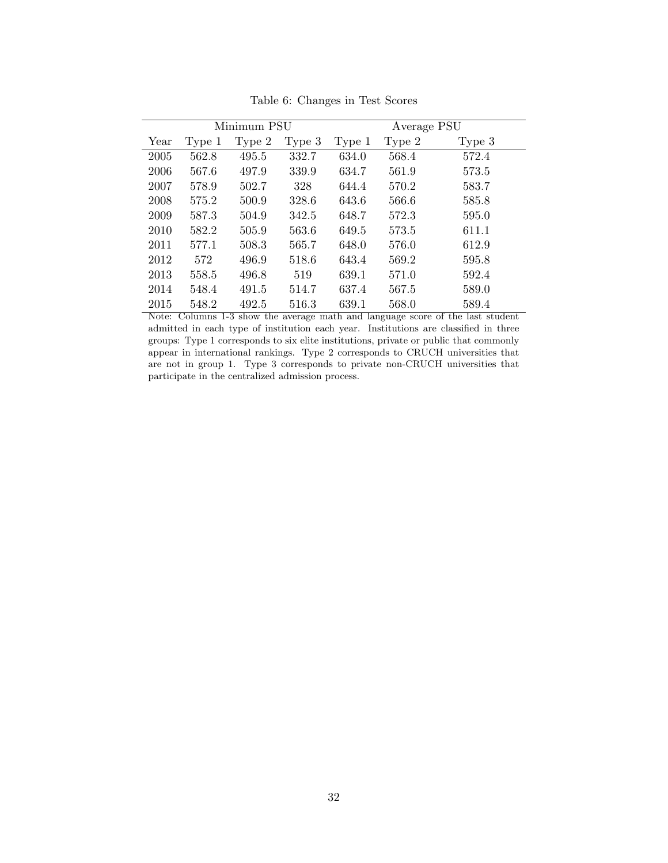<span id="page-31-0"></span>

|      |        | Minimum PSU |        |        | Average PSU |        |
|------|--------|-------------|--------|--------|-------------|--------|
| Year | Type 1 | Type 2      | Type 3 | Type 1 | Type 2      | Type 3 |
| 2005 | 562.8  | 495.5       | 332.7  | 634.0  | 568.4       | 572.4  |
| 2006 | 567.6  | 497.9       | 339.9  | 634.7  | 561.9       | 573.5  |
| 2007 | 578.9  | 502.7       | 328    | 644.4  | 570.2       | 583.7  |
| 2008 | 575.2  | 500.9       | 328.6  | 643.6  | 566.6       | 585.8  |
| 2009 | 587.3  | 504.9       | 342.5  | 648.7  | 572.3       | 595.0  |
| 2010 | 582.2  | 505.9       | 563.6  | 649.5  | 573.5       | 611.1  |
| 2011 | 577.1  | 508.3       | 565.7  | 648.0  | 576.0       | 612.9  |
| 2012 | 572    | 496.9       | 518.6  | 643.4  | 569.2       | 595.8  |
| 2013 | 558.5  | 496.8       | 519    | 639.1  | 571.0       | 592.4  |
| 2014 | 548.4  | 491.5       | 514.7  | 637.4  | 567.5       | 589.0  |
| 2015 | 548.2  | 492.5       | 516.3  | 639.1  | 568.0       | 589.4  |

Table 6: Changes in Test Scores

Note: Columns 1-3 show the average math and language score of the last student admitted in each type of institution each year. Institutions are classified in three groups: Type 1 corresponds to six elite institutions, private or public that commonly appear in international rankings. Type 2 corresponds to CRUCH universities that are not in group 1. Type 3 corresponds to private non-CRUCH universities that participate in the centralized admission process.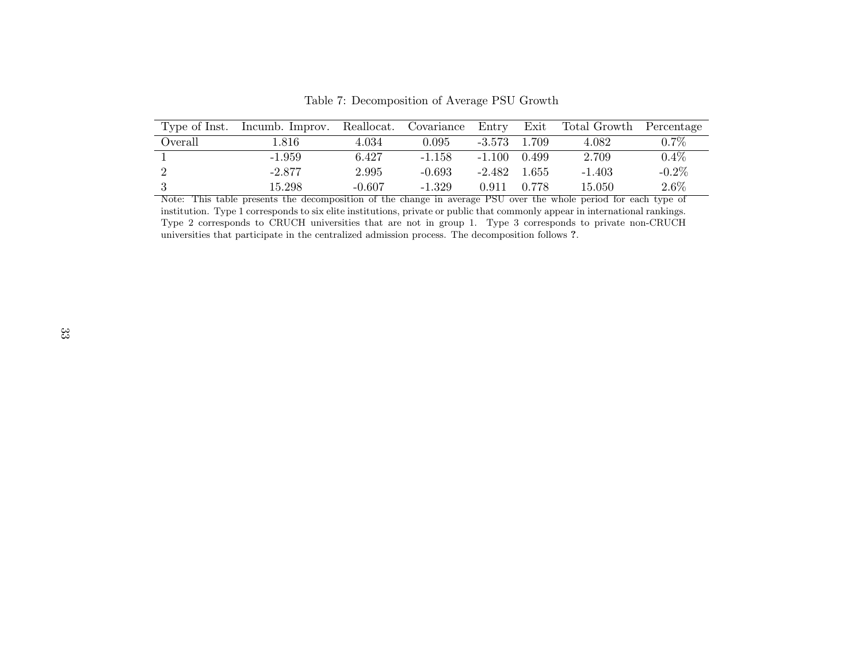| Type of Inst. | Incumb. Improv. | Reallocat. | Covariance | $_{\rm Entry}$ | Exit  | Total Growth | Percentage |
|---------------|-----------------|------------|------------|----------------|-------|--------------|------------|
| Overall       | .816            | 4.034      | $0.095\,$  | $-3.573$       | 1.709 | 4.082        | $0.7\%$    |
|               | $-1.959$        | 6.427      | $-1.158$   | $-1.100$       | 0.499 | 2.709        | 0.4%       |
|               | $-2.877$        | 2.995      | $-0.693$   | $-2.482$       | 1.655 | $-1.403$     | $-0.2\%$   |
|               | 15.298          | $-0.607$   | $-1.329$   | 0.911          | 0.778 | 15.050       | $2.6\%$    |

Table 7: Decomposition of Average PSU Growth

<span id="page-32-0"></span> Note: This table presents the decomposition of the change in average PSU over the whole period for each type of institution. Type 1 corresponds to six elite institutions, private or public that commonly appear in international rankings. Type 2 corresponds to CRUCH universities that are not in group 1. Type 3 corresponds to private non-CRUCH universities that participate in the centralized admission process. The decomposition follows ?.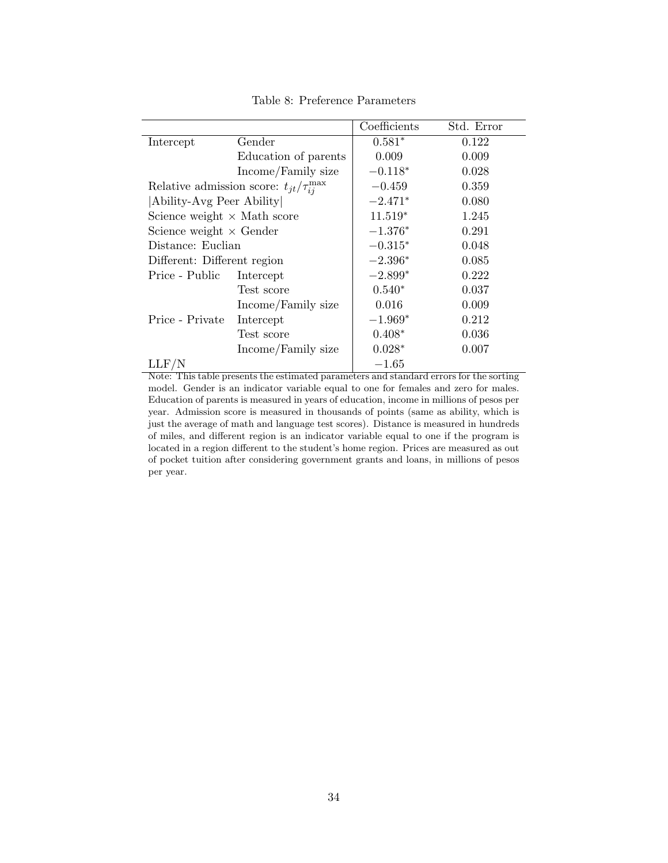<span id="page-33-0"></span>

|                                    |                                                                                        | Coefficients | Std. Error |
|------------------------------------|----------------------------------------------------------------------------------------|--------------|------------|
| Intercept                          | Gender                                                                                 | $0.581*$     | 0.122      |
|                                    | Education of parents                                                                   | 0.009        | 0.009      |
|                                    | Income/Family size                                                                     | $-0.118*$    | 0.028      |
|                                    | Relative admission score: $t_{jt}/\tau_{ij}^{\max}$                                    | $-0.459$     | 0.359      |
| Ability-Avg Peer Ability           |                                                                                        | $-2.471*$    | 0.080      |
| Science weight $\times$ Math score |                                                                                        | $11.519*$    | 1.245      |
| Science weight $\times$ Gender     |                                                                                        | $-1.376*$    | 0.291      |
| Distance: Euclian                  |                                                                                        | $-0.315*$    | 0.048      |
| Different: Different region        |                                                                                        | $-2.396*$    | 0.085      |
| Price - Public                     | Intercept                                                                              | $-2.899*$    | 0.222      |
|                                    | Test score                                                                             | $0.540*$     | 0.037      |
|                                    | Income/Family size                                                                     | 0.016        | 0.009      |
| Price - Private                    | Intercept                                                                              | $-1.969*$    | 0.212      |
|                                    | Test score                                                                             | $0.408*$     | 0.036      |
|                                    | Income/Family size                                                                     | $0.028*$     | 0.007      |
| LLF/N                              |                                                                                        | $-1.65$      |            |
|                                    | Note: This table presents the estimated parameters and standard errors for the sorting |              |            |

Table 8: Preference Parameters

model. Gender is an indicator variable equal to one for females and zero for males. Education of parents is measured in years of education, income in millions of pesos per year. Admission score is measured in thousands of points (same as ability, which is just the average of math and language test scores). Distance is measured in hundreds of miles, and different region is an indicator variable equal to one if the program is located in a region different to the student's home region. Prices are measured as out of pocket tuition after considering government grants and loans, in millions of pesos per year.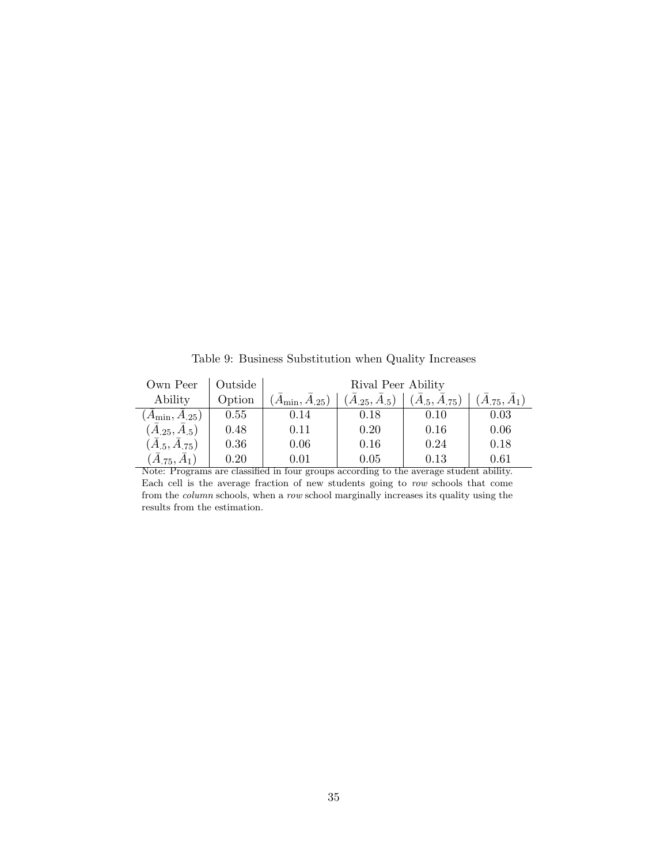Table 9: Business Substitution when Quality Increases

<span id="page-34-0"></span>

| Own Peer              | Outside | Rival Peer Ability    |                           |                           |                  |  |  |
|-----------------------|---------|-----------------------|---------------------------|---------------------------|------------------|--|--|
| Ability               | Option  | $(A_{\min}, A_{.25})$ | $(\bar{A}_{.25}, A_{.5})$ | $(\bar{A}_{.5}, A_{.75})$ | $(A_{.75}, A_1)$ |  |  |
| $(A_{\min}, A_{.25})$ | 0.55    | 0.14                  | 0.18                      | 0.10                      | 0.03             |  |  |
| $(A_{.25},A_{.5})$    | 0.48    | 0.11                  | 0.20                      | 0.16                      | 0.06             |  |  |
| $(A_{.5}, A_{.75})$   | 0.36    | 0.06                  | 0.16                      | 0.24                      | 0.18             |  |  |
| $(A_{.75}, A_1)$      | 0.20    | 0.01                  | 0.05                      | 0.13                      | 0.61             |  |  |

Note: Programs are classified in four groups according to the average student ability. Each cell is the average fraction of new students going to *row* schools that come from the *column* schools, when a *row* school marginally increases its quality using the results from the estimation.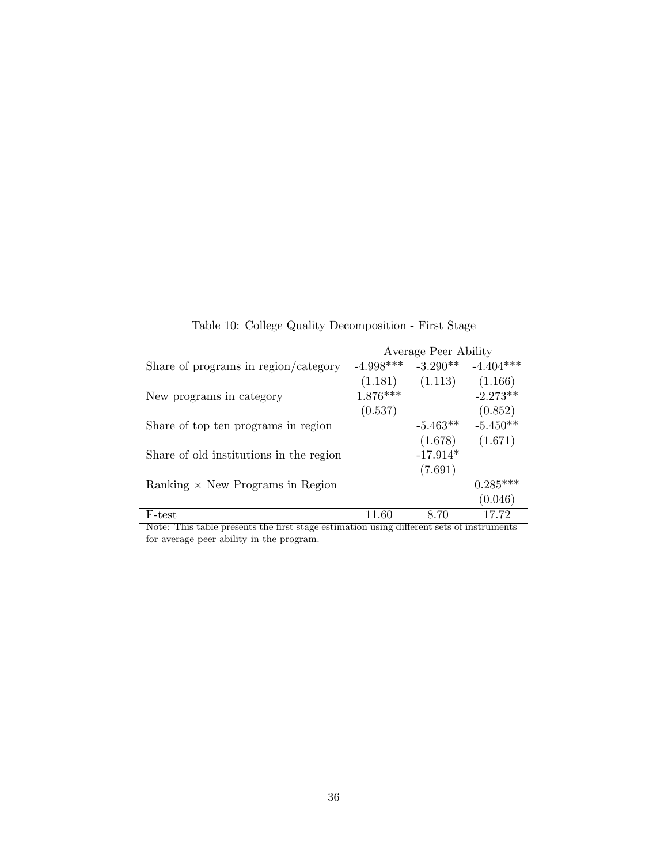<span id="page-35-0"></span>

|                                         | Average Peer Ability |            |             |  |  |
|-----------------------------------------|----------------------|------------|-------------|--|--|
| Share of programs in region/category    | $-4.998***$          | $-3.290**$ | $-4.404***$ |  |  |
|                                         | (1.181)              | (1.113)    | (1.166)     |  |  |
| New programs in category                | $1.876***$           |            | $-2.273**$  |  |  |
|                                         | (0.537)              |            | (0.852)     |  |  |
| Share of top ten programs in region     |                      | $-5.463**$ | $-5.450**$  |  |  |
|                                         |                      | (1.678)    | (1.671)     |  |  |
| Share of old institutions in the region |                      | $-17.914*$ |             |  |  |
|                                         |                      | (7.691)    |             |  |  |
| Ranking $\times$ New Programs in Region |                      |            | $0.285***$  |  |  |
|                                         |                      |            | (0.046)     |  |  |
| F-test                                  | - 60                 | 8.70       | 17.72       |  |  |

Table 10: College Quality Decomposition - First Stage

Note: This table presents the first stage estimation using different sets of instruments for average peer ability in the program.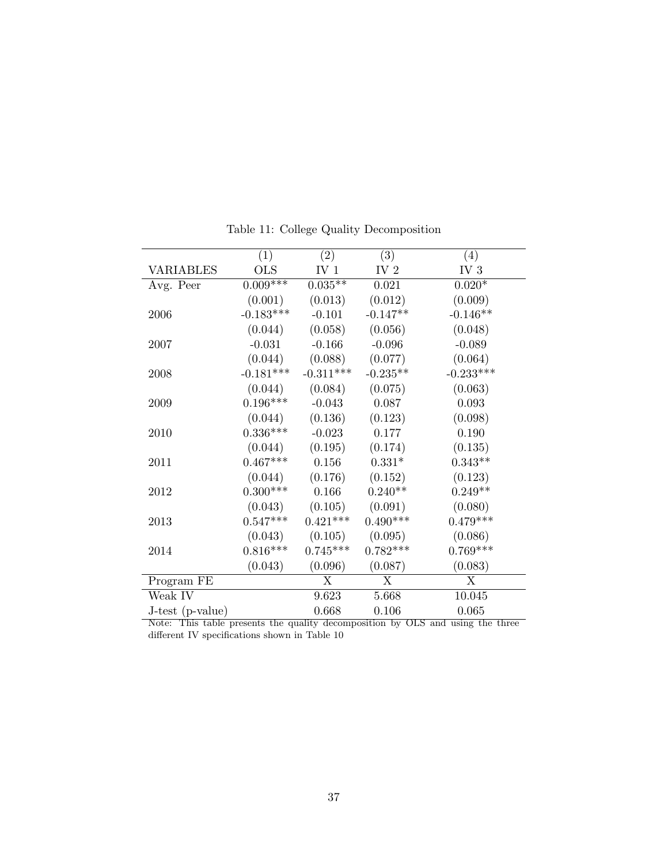<span id="page-36-0"></span>

|                  | (1)         | (2)             | (3)             | (4)             |
|------------------|-------------|-----------------|-----------------|-----------------|
| <b>VARIABLES</b> | <b>OLS</b>  | IV <sub>1</sub> | IV <sub>2</sub> | IV <sub>3</sub> |
| Avg. Peer        | $0.009***$  | $0.035**$       | 0.021           | $0.020*$        |
|                  | (0.001)     | (0.013)         | (0.012)         | (0.009)         |
| 2006             | $-0.183***$ | $-0.101$        | $-0.147**$      | $-0.146**$      |
|                  | (0.044)     | (0.058)         | (0.056)         | (0.048)         |
| 2007             | $-0.031$    | $-0.166$        | $-0.096$        | $-0.089$        |
|                  | (0.044)     | (0.088)         | (0.077)         | (0.064)         |
| 2008             | $-0.181***$ | $-0.311***$     | $-0.235**$      | $-0.233***$     |
|                  | (0.044)     | (0.084)         | (0.075)         | (0.063)         |
| 2009             | $0.196***$  | $-0.043$        | 0.087           | 0.093           |
|                  | (0.044)     | (0.136)         | (0.123)         | (0.098)         |
| 2010             | $0.336***$  | $-0.023$        | 0.177           | 0.190           |
|                  | (0.044)     | (0.195)         | (0.174)         | (0.135)         |
| 2011             | $0.467***$  | 0.156           | $0.331*$        | $0.343**$       |
|                  | (0.044)     | (0.176)         | (0.152)         | (0.123)         |
| 2012             | $0.300***$  | 0.166           | $0.240**$       | $0.249**$       |
|                  | (0.043)     | (0.105)         | (0.091)         | (0.080)         |
| 2013             | $0.547***$  | $0.421***$      | $0.490***$      | $0.479***$      |
|                  | (0.043)     | (0.105)         | (0.095)         | (0.086)         |
| 2014             | $0.816***$  | $0.745***$      | $0.782***$      | $0.769***$      |
|                  | (0.043)     | (0.096)         | (0.087)         | (0.083)         |
| Program FE       |             | X               | X               | X               |
| Weak IV          |             | 9.623           | 5.668           | 10.045          |
| J-test (p-value) |             | 0.668           | 0.106           | 0.065           |

Table 11: College Quality Decomposition

Note: This table presents the quality decomposition by OLS and using the three different IV specifications shown in Table [10](#page-35-0)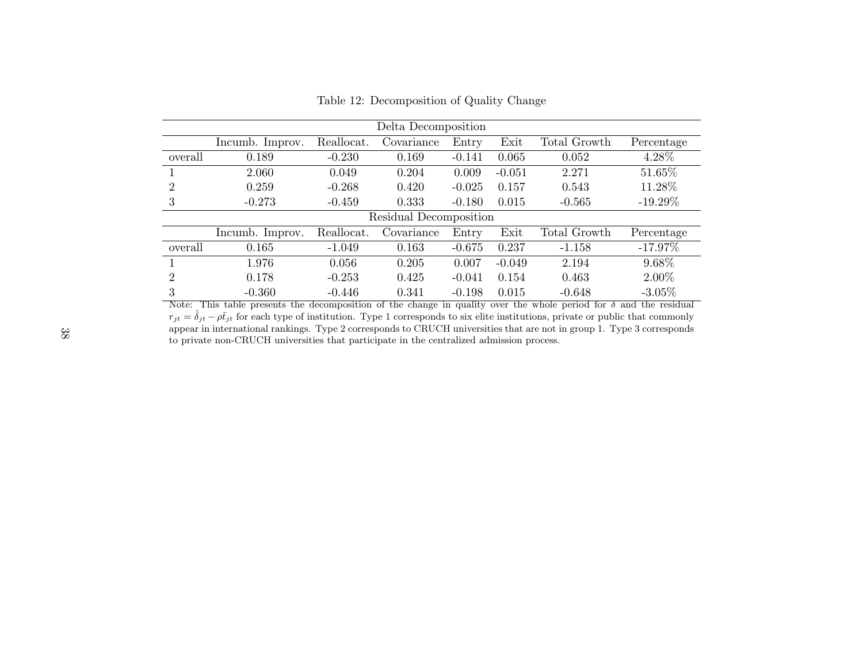|         | Delta Decomposition |            |                        |          |          |              |            |  |  |
|---------|---------------------|------------|------------------------|----------|----------|--------------|------------|--|--|
|         | Incumb. Improv.     | Reallocat. | Covariance             | Entry    | Exit     | Total Growth | Percentage |  |  |
| overall | 0.189               | $-0.230$   | 0.169                  | $-0.141$ | 0.065    | 0.052        | 4.28%      |  |  |
|         | 2.060               | 0.049      | 0.204                  | 0.009    | $-0.051$ | 2.271        | 51.65%     |  |  |
| 2       | 0.259               | $-0.268$   | 0.420                  | $-0.025$ | 0.157    | 0.543        | 11.28%     |  |  |
| 3       | $-0.273$            | $-0.459$   | 0.333                  | $-0.180$ | 0.015    | $-0.565$     | $-19.29\%$ |  |  |
|         |                     |            | Residual Decomposition |          |          |              |            |  |  |
|         | Incumb. Improv.     | Reallocat. | Covariance             | Entry    | Exit     | Total Growth | Percentage |  |  |
| overall | 0.165               | $-1.049$   | 0.163                  | $-0.675$ | 0.237    | $-1.158$     | $-17.97\%$ |  |  |
|         | 1.976               | 0.056      | 0.205                  | 0.007    | $-0.049$ | 2.194        | 9.68%      |  |  |
| 2       | 0.178               | $-0.253$   | 0.425                  | $-0.041$ | 0.154    | 0.463        | $2.00\%$   |  |  |
| 3       | $-0.360$            | $-0.446$   | 0.341                  | $-0.198$ | 0.015    | $-0.648$     | $-3.05\%$  |  |  |

<span id="page-37-0"></span>Table 12: Decomposition of Quality Change

Note: This table presents the decomposition of the change in quality over the whole period for  $\delta$  and the residual  $r_{jt} = \hat{\delta}_{jt} - \rho \bar{t}_{jt}$  for each type of institution. Type 1 corresponds to six elite institutions, private or public that commonly appear in international rankings. Type 2 corresponds to CRUCH universities that are not in group 1. Type 3 corresponds to private non-CRUCH universities that participate in the centralized admission process.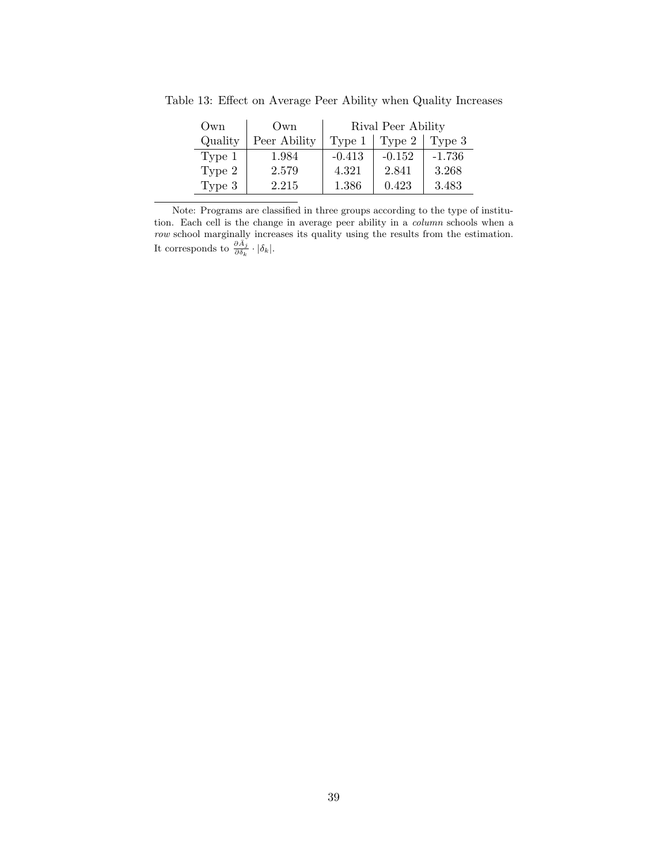| Own     | Own          | Rival Peer Ability |          |          |
|---------|--------------|--------------------|----------|----------|
| Quality | Peer Ability | Type 1             | Type 2   | Type 3   |
| Type 1  | 1.984        | $-0.413$           | $-0.152$ | $-1.736$ |
| Type 2  | 2.579        | 4.321              | 2.841    | 3.268    |
| Type 3  | 2.215        | 1.386              | 0.423    | 3.483    |

<span id="page-38-0"></span>Table 13: Effect on Average Peer Ability when Quality Increases

Note: Programs are classified in three groups according to the type of institution. Each cell is the change in average peer ability in a *column* schools when a *row* school marginally increases its quality using the results from the estimation. It corresponds to  $\frac{\partial \bar{A}_j}{\partial \delta_k} \cdot |\delta_k|$ .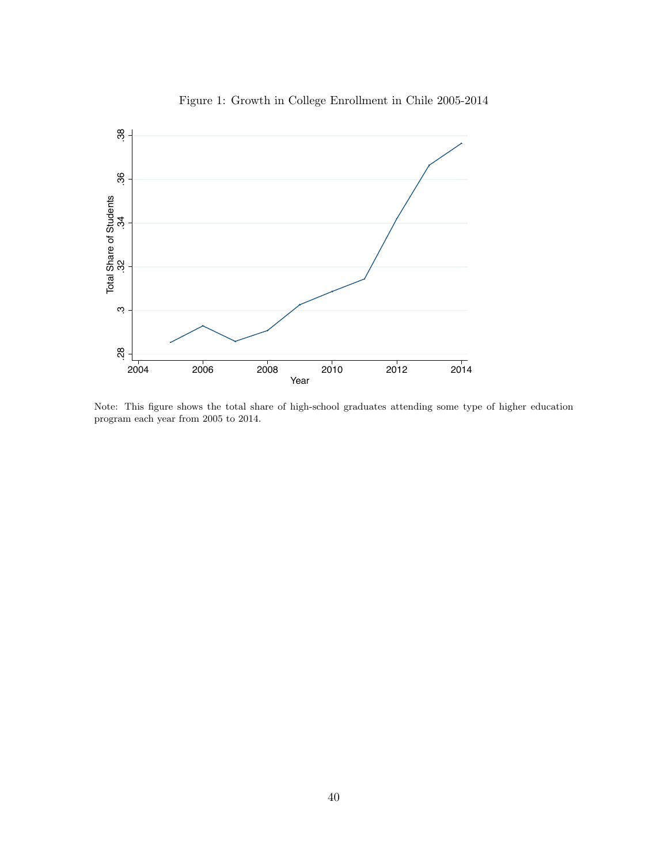<span id="page-39-0"></span>

Figure 1: Growth in College Enrollment in Chile 2005-2014

Note: This figure shows the total share of high-school graduates attending some type of higher education program each year from 2005 to 2014.